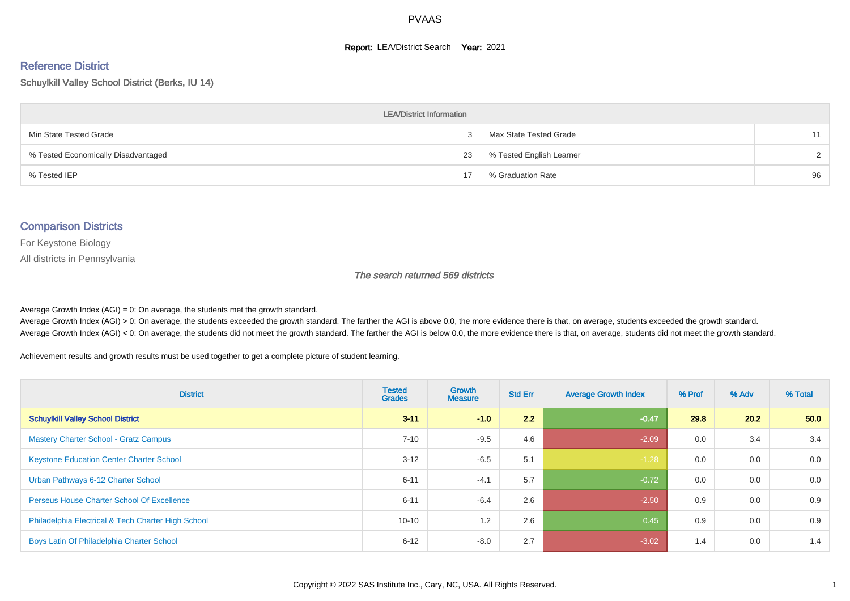#### **Report: LEA/District Search Year: 2021**

#### Reference District

Schuylkill Valley School District (Berks, IU 14)

| <b>LEA/District Information</b>     |    |                          |        |  |  |  |  |  |  |  |
|-------------------------------------|----|--------------------------|--------|--|--|--|--|--|--|--|
| Min State Tested Grade              |    | Max State Tested Grade   | 11     |  |  |  |  |  |  |  |
| % Tested Economically Disadvantaged | 23 | % Tested English Learner | $\sim$ |  |  |  |  |  |  |  |
| % Tested IEP                        | 17 | % Graduation Rate        | 96     |  |  |  |  |  |  |  |

#### Comparison Districts

For Keystone Biology

All districts in Pennsylvania

The search returned 569 districts

Average Growth Index  $(AGI) = 0$ : On average, the students met the growth standard.

Average Growth Index (AGI) > 0: On average, the students exceeded the growth standard. The farther the AGI is above 0.0, the more evidence there is that, on average, students exceeded the growth standard. Average Growth Index (AGI) < 0: On average, the students did not meet the growth standard. The farther the AGI is below 0.0, the more evidence there is that, on average, students did not meet the growth standard.

Achievement results and growth results must be used together to get a complete picture of student learning.

| <b>District</b>                                    | <b>Tested</b><br><b>Grades</b> | <b>Growth</b><br><b>Measure</b> | <b>Std Err</b> | <b>Average Growth Index</b> | % Prof | % Adv | % Total |
|----------------------------------------------------|--------------------------------|---------------------------------|----------------|-----------------------------|--------|-------|---------|
| <b>Schuylkill Valley School District</b>           | $3 - 11$                       | $-1.0$                          | 2.2            | $-0.47$                     | 29.8   | 20.2  | 50.0    |
| <b>Mastery Charter School - Gratz Campus</b>       | $7 - 10$                       | $-9.5$                          | 4.6            | $-2.09$                     | 0.0    | 3.4   | 3.4     |
| <b>Keystone Education Center Charter School</b>    | $3 - 12$                       | $-6.5$                          | 5.1            | $-1.28$                     | 0.0    | 0.0   | 0.0     |
| Urban Pathways 6-12 Charter School                 | $6 - 11$                       | $-4.1$                          | 5.7            | $-0.72$                     | 0.0    | 0.0   | 0.0     |
| <b>Perseus House Charter School Of Excellence</b>  | $6 - 11$                       | $-6.4$                          | 2.6            | $-2.50$                     | 0.9    | 0.0   | 0.9     |
| Philadelphia Electrical & Tech Charter High School | $10 - 10$                      | 1.2                             | 2.6            | 0.45                        | 0.9    | 0.0   | 0.9     |
| Boys Latin Of Philadelphia Charter School          | $6 - 12$                       | $-8.0$                          | 2.7            | $-3.02$                     | 1.4    | 0.0   | 1.4     |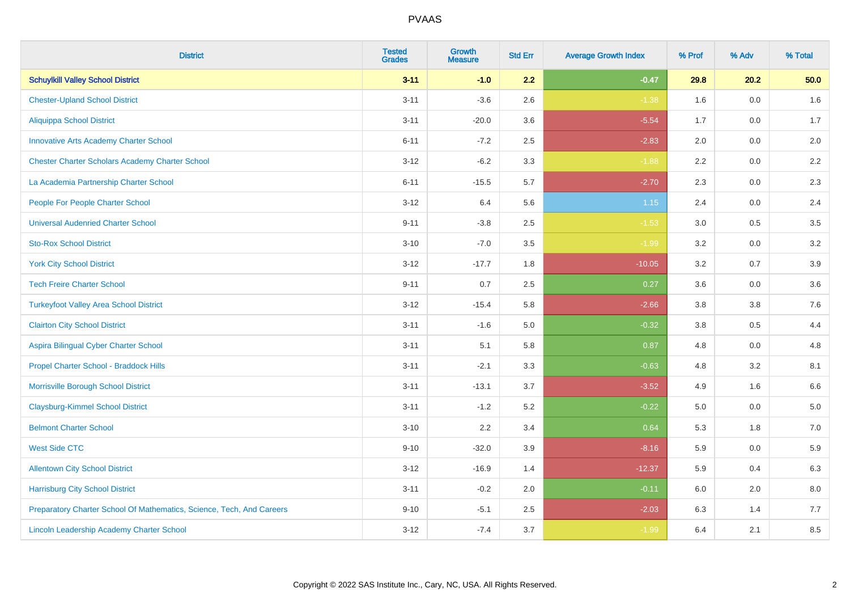| <b>District</b>                                                       | <b>Tested</b><br><b>Grades</b> | <b>Growth</b><br><b>Measure</b> | <b>Std Err</b> | <b>Average Growth Index</b> | % Prof  | % Adv | % Total |
|-----------------------------------------------------------------------|--------------------------------|---------------------------------|----------------|-----------------------------|---------|-------|---------|
| <b>Schuylkill Valley School District</b>                              | $3 - 11$                       | $-1.0$                          | 2.2            | $-0.47$                     | 29.8    | 20.2  | 50.0    |
| <b>Chester-Upland School District</b>                                 | $3 - 11$                       | $-3.6$                          | 2.6            | $-1.38$                     | 1.6     | 0.0   | $1.6\,$ |
| <b>Aliquippa School District</b>                                      | $3 - 11$                       | $-20.0$                         | 3.6            | $-5.54$                     | 1.7     | 0.0   | 1.7     |
| <b>Innovative Arts Academy Charter School</b>                         | $6 - 11$                       | $-7.2$                          | 2.5            | $-2.83$                     | 2.0     | 0.0   | 2.0     |
| <b>Chester Charter Scholars Academy Charter School</b>                | $3 - 12$                       | $-6.2$                          | 3.3            | $-1.88$                     | 2.2     | 0.0   | $2.2\,$ |
| La Academia Partnership Charter School                                | $6 - 11$                       | $-15.5$                         | 5.7            | $-2.70$                     | 2.3     | 0.0   | 2.3     |
| People For People Charter School                                      | $3 - 12$                       | 6.4                             | 5.6            | 1.15                        | 2.4     | 0.0   | 2.4     |
| <b>Universal Audenried Charter School</b>                             | $9 - 11$                       | $-3.8$                          | 2.5            | $-1.53$                     | 3.0     | 0.5   | 3.5     |
| <b>Sto-Rox School District</b>                                        | $3 - 10$                       | $-7.0$                          | 3.5            | $-1.99$                     | 3.2     | 0.0   | $3.2\,$ |
| <b>York City School District</b>                                      | $3 - 12$                       | $-17.7$                         | 1.8            | $-10.05$                    | 3.2     | 0.7   | 3.9     |
| <b>Tech Freire Charter School</b>                                     | $9 - 11$                       | 0.7                             | 2.5            | 0.27                        | 3.6     | 0.0   | 3.6     |
| <b>Turkeyfoot Valley Area School District</b>                         | $3 - 12$                       | $-15.4$                         | 5.8            | $-2.66$                     | 3.8     | 3.8   | 7.6     |
| <b>Clairton City School District</b>                                  | $3 - 11$                       | $-1.6$                          | 5.0            | $-0.32$                     | $3.8\,$ | 0.5   | 4.4     |
| Aspira Bilingual Cyber Charter School                                 | $3 - 11$                       | 5.1                             | 5.8            | 0.87                        | 4.8     | 0.0   | 4.8     |
| Propel Charter School - Braddock Hills                                | $3 - 11$                       | $-2.1$                          | 3.3            | $-0.63$                     | 4.8     | 3.2   | 8.1     |
| Morrisville Borough School District                                   | $3 - 11$                       | $-13.1$                         | 3.7            | $-3.52$                     | 4.9     | 1.6   | 6.6     |
| <b>Claysburg-Kimmel School District</b>                               | $3 - 11$                       | $-1.2$                          | 5.2            | $-0.22$                     | 5.0     | 0.0   | 5.0     |
| <b>Belmont Charter School</b>                                         | $3 - 10$                       | 2.2                             | 3.4            | 0.64                        | 5.3     | 1.8   | $7.0\,$ |
| <b>West Side CTC</b>                                                  | $9 - 10$                       | $-32.0$                         | 3.9            | $-8.16$                     | 5.9     | 0.0   | 5.9     |
| <b>Allentown City School District</b>                                 | $3 - 12$                       | $-16.9$                         | 1.4            | $-12.37$                    | 5.9     | 0.4   | 6.3     |
| <b>Harrisburg City School District</b>                                | $3 - 11$                       | $-0.2$                          | 2.0            | $-0.11$                     | 6.0     | 2.0   | 8.0     |
| Preparatory Charter School Of Mathematics, Science, Tech, And Careers | $9 - 10$                       | $-5.1$                          | 2.5            | $-2.03$                     | 6.3     | 1.4   | 7.7     |
| <b>Lincoln Leadership Academy Charter School</b>                      | $3 - 12$                       | $-7.4$                          | 3.7            | $-1.99$                     | 6.4     | 2.1   | 8.5     |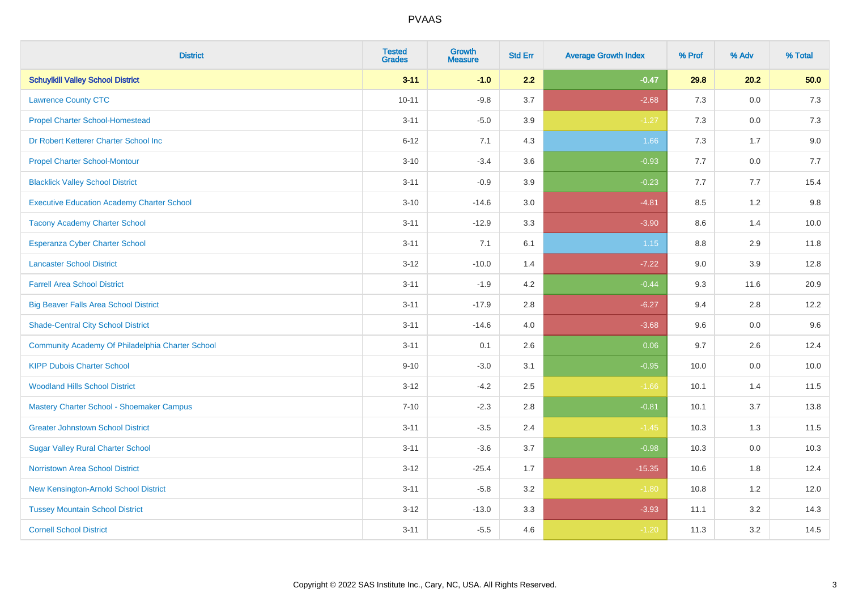| <b>District</b>                                   | <b>Tested</b><br><b>Grades</b> | Growth<br><b>Measure</b> | <b>Std Err</b> | <b>Average Growth Index</b> | % Prof | % Adv   | % Total |
|---------------------------------------------------|--------------------------------|--------------------------|----------------|-----------------------------|--------|---------|---------|
| <b>Schuylkill Valley School District</b>          | $3 - 11$                       | $-1.0$                   | 2.2            | $-0.47$                     | 29.8   | 20.2    | 50.0    |
| <b>Lawrence County CTC</b>                        | $10 - 11$                      | $-9.8$                   | 3.7            | $-2.68$                     | 7.3    | 0.0     | 7.3     |
| <b>Propel Charter School-Homestead</b>            | $3 - 11$                       | $-5.0$                   | 3.9            | $-1.27$                     | 7.3    | 0.0     | 7.3     |
| Dr Robert Ketterer Charter School Inc             | $6 - 12$                       | 7.1                      | 4.3            | 1.66                        | $7.3$  | 1.7     | 9.0     |
| <b>Propel Charter School-Montour</b>              | $3 - 10$                       | $-3.4$                   | 3.6            | $-0.93$                     | 7.7    | 0.0     | 7.7     |
| <b>Blacklick Valley School District</b>           | $3 - 11$                       | $-0.9$                   | 3.9            | $-0.23$                     | 7.7    | 7.7     | 15.4    |
| <b>Executive Education Academy Charter School</b> | $3 - 10$                       | $-14.6$                  | 3.0            | $-4.81$                     | 8.5    | 1.2     | 9.8     |
| <b>Tacony Academy Charter School</b>              | $3 - 11$                       | $-12.9$                  | 3.3            | $-3.90$                     | 8.6    | 1.4     | 10.0    |
| <b>Esperanza Cyber Charter School</b>             | $3 - 11$                       | 7.1                      | 6.1            | 1.15                        | 8.8    | 2.9     | 11.8    |
| <b>Lancaster School District</b>                  | $3 - 12$                       | $-10.0$                  | 1.4            | $-7.22$                     | 9.0    | 3.9     | 12.8    |
| <b>Farrell Area School District</b>               | $3 - 11$                       | $-1.9$                   | 4.2            | $-0.44$                     | 9.3    | 11.6    | 20.9    |
| <b>Big Beaver Falls Area School District</b>      | $3 - 11$                       | $-17.9$                  | 2.8            | $-6.27$                     | 9.4    | 2.8     | 12.2    |
| <b>Shade-Central City School District</b>         | $3 - 11$                       | $-14.6$                  | 4.0            | $-3.68$                     | 9.6    | 0.0     | 9.6     |
| Community Academy Of Philadelphia Charter School  | $3 - 11$                       | 0.1                      | 2.6            | 0.06                        | 9.7    | 2.6     | 12.4    |
| <b>KIPP Dubois Charter School</b>                 | $9 - 10$                       | $-3.0$                   | 3.1            | $-0.95$                     | 10.0   | 0.0     | 10.0    |
| <b>Woodland Hills School District</b>             | $3 - 12$                       | $-4.2$                   | 2.5            | $-1.66$                     | 10.1   | 1.4     | 11.5    |
| Mastery Charter School - Shoemaker Campus         | $7 - 10$                       | $-2.3$                   | 2.8            | $-0.81$                     | 10.1   | 3.7     | 13.8    |
| <b>Greater Johnstown School District</b>          | $3 - 11$                       | $-3.5$                   | 2.4            | $-1.45$                     | 10.3   | 1.3     | 11.5    |
| <b>Sugar Valley Rural Charter School</b>          | $3 - 11$                       | $-3.6$                   | 3.7            | $-0.98$                     | 10.3   | $0.0\,$ | 10.3    |
| Norristown Area School District                   | $3 - 12$                       | $-25.4$                  | 1.7            | $-15.35$                    | 10.6   | 1.8     | 12.4    |
| New Kensington-Arnold School District             | $3 - 11$                       | $-5.8$                   | 3.2            | $-1.80$                     | 10.8   | 1.2     | 12.0    |
| <b>Tussey Mountain School District</b>            | $3 - 12$                       | $-13.0$                  | 3.3            | $-3.93$                     | 11.1   | 3.2     | 14.3    |
| <b>Cornell School District</b>                    | $3 - 11$                       | $-5.5$                   | 4.6            | $-1.20$                     | 11.3   | 3.2     | 14.5    |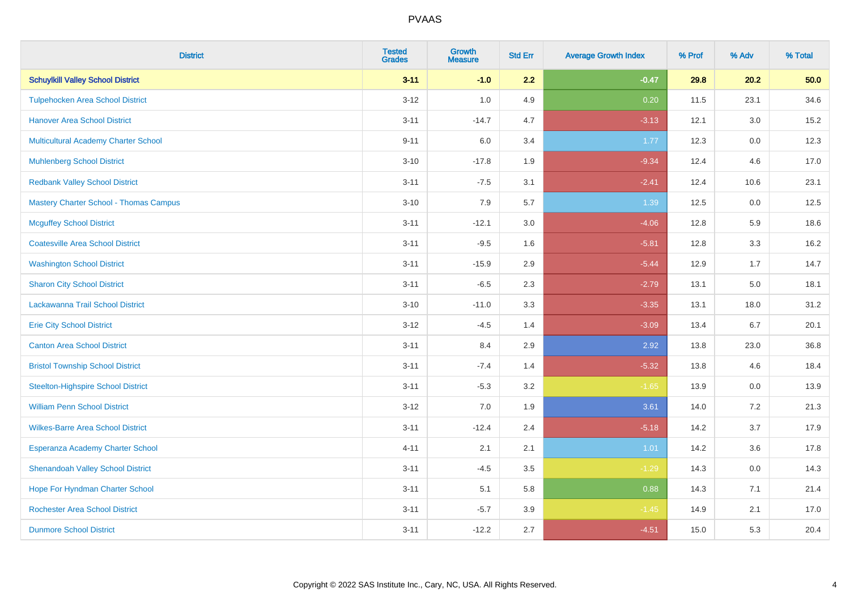| <b>District</b>                               | <b>Tested</b><br><b>Grades</b> | <b>Growth</b><br><b>Measure</b> | <b>Std Err</b> | <b>Average Growth Index</b> | % Prof | % Adv   | % Total |
|-----------------------------------------------|--------------------------------|---------------------------------|----------------|-----------------------------|--------|---------|---------|
| <b>Schuylkill Valley School District</b>      | $3 - 11$                       | $-1.0$                          | 2.2            | $-0.47$                     | 29.8   | 20.2    | 50.0    |
| <b>Tulpehocken Area School District</b>       | $3 - 12$                       | 1.0                             | 4.9            | 0.20                        | 11.5   | 23.1    | 34.6    |
| <b>Hanover Area School District</b>           | $3 - 11$                       | $-14.7$                         | 4.7            | $-3.13$                     | 12.1   | 3.0     | 15.2    |
| <b>Multicultural Academy Charter School</b>   | $9 - 11$                       | 6.0                             | 3.4            | 1.77                        | 12.3   | 0.0     | 12.3    |
| <b>Muhlenberg School District</b>             | $3 - 10$                       | $-17.8$                         | 1.9            | $-9.34$                     | 12.4   | 4.6     | 17.0    |
| <b>Redbank Valley School District</b>         | $3 - 11$                       | $-7.5$                          | 3.1            | $-2.41$                     | 12.4   | 10.6    | 23.1    |
| <b>Mastery Charter School - Thomas Campus</b> | $3 - 10$                       | 7.9                             | 5.7            | 1.39                        | 12.5   | 0.0     | 12.5    |
| <b>Mcguffey School District</b>               | $3 - 11$                       | $-12.1$                         | 3.0            | $-4.06$                     | 12.8   | 5.9     | 18.6    |
| <b>Coatesville Area School District</b>       | $3 - 11$                       | $-9.5$                          | 1.6            | $-5.81$                     | 12.8   | 3.3     | 16.2    |
| <b>Washington School District</b>             | $3 - 11$                       | $-15.9$                         | 2.9            | $-5.44$                     | 12.9   | 1.7     | 14.7    |
| <b>Sharon City School District</b>            | $3 - 11$                       | $-6.5$                          | 2.3            | $-2.79$                     | 13.1   | 5.0     | 18.1    |
| Lackawanna Trail School District              | $3 - 10$                       | $-11.0$                         | 3.3            | $-3.35$                     | 13.1   | 18.0    | 31.2    |
| <b>Erie City School District</b>              | $3 - 12$                       | $-4.5$                          | 1.4            | $-3.09$                     | 13.4   | 6.7     | 20.1    |
| <b>Canton Area School District</b>            | $3 - 11$                       | 8.4                             | 2.9            | 2.92                        | 13.8   | 23.0    | 36.8    |
| <b>Bristol Township School District</b>       | $3 - 11$                       | $-7.4$                          | 1.4            | $-5.32$                     | 13.8   | 4.6     | 18.4    |
| <b>Steelton-Highspire School District</b>     | $3 - 11$                       | $-5.3$                          | 3.2            | $-1.65$                     | 13.9   | $0.0\,$ | 13.9    |
| <b>William Penn School District</b>           | $3 - 12$                       | 7.0                             | 1.9            | 3.61                        | 14.0   | 7.2     | 21.3    |
| <b>Wilkes-Barre Area School District</b>      | $3 - 11$                       | $-12.4$                         | 2.4            | $-5.18$                     | 14.2   | 3.7     | 17.9    |
| Esperanza Academy Charter School              | $4 - 11$                       | 2.1                             | 2.1            | 1.01                        | 14.2   | 3.6     | 17.8    |
| <b>Shenandoah Valley School District</b>      | $3 - 11$                       | $-4.5$                          | 3.5            | $-1.29$                     | 14.3   | 0.0     | 14.3    |
| Hope For Hyndman Charter School               | $3 - 11$                       | 5.1                             | 5.8            | 0.88                        | 14.3   | 7.1     | 21.4    |
| <b>Rochester Area School District</b>         | $3 - 11$                       | $-5.7$                          | 3.9            | $-1.45$                     | 14.9   | 2.1     | 17.0    |
| <b>Dunmore School District</b>                | $3 - 11$                       | $-12.2$                         | 2.7            | $-4.51$                     | 15.0   | 5.3     | 20.4    |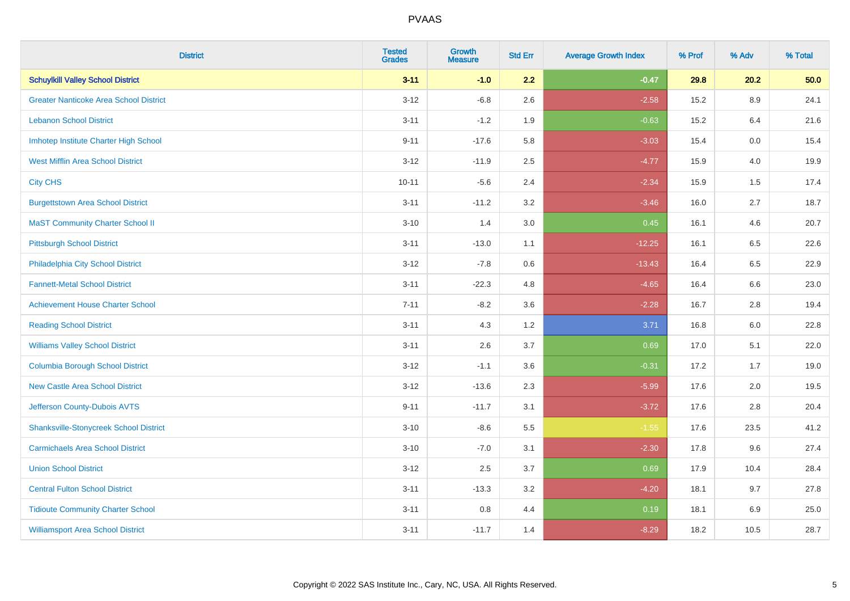| <b>District</b>                               | <b>Tested</b><br><b>Grades</b> | Growth<br><b>Measure</b> | <b>Std Err</b> | <b>Average Growth Index</b> | % Prof | % Adv | % Total |
|-----------------------------------------------|--------------------------------|--------------------------|----------------|-----------------------------|--------|-------|---------|
| <b>Schuylkill Valley School District</b>      | $3 - 11$                       | $-1.0$                   | 2.2            | $-0.47$                     | 29.8   | 20.2  | 50.0    |
| <b>Greater Nanticoke Area School District</b> | $3 - 12$                       | $-6.8$                   | 2.6            | $-2.58$                     | 15.2   | 8.9   | 24.1    |
| <b>Lebanon School District</b>                | $3 - 11$                       | $-1.2$                   | 1.9            | $-0.63$                     | 15.2   | 6.4   | 21.6    |
| Imhotep Institute Charter High School         | $9 - 11$                       | $-17.6$                  | 5.8            | $-3.03$                     | 15.4   | 0.0   | 15.4    |
| <b>West Mifflin Area School District</b>      | $3 - 12$                       | $-11.9$                  | 2.5            | $-4.77$                     | 15.9   | 4.0   | 19.9    |
| <b>City CHS</b>                               | $10 - 11$                      | $-5.6$                   | 2.4            | $-2.34$                     | 15.9   | 1.5   | 17.4    |
| <b>Burgettstown Area School District</b>      | $3 - 11$                       | $-11.2$                  | 3.2            | $-3.46$                     | 16.0   | 2.7   | 18.7    |
| <b>MaST Community Charter School II</b>       | $3 - 10$                       | 1.4                      | 3.0            | 0.45                        | 16.1   | 4.6   | 20.7    |
| <b>Pittsburgh School District</b>             | $3 - 11$                       | $-13.0$                  | 1.1            | $-12.25$                    | 16.1   | 6.5   | 22.6    |
| Philadelphia City School District             | $3 - 12$                       | $-7.8$                   | 0.6            | $-13.43$                    | 16.4   | 6.5   | 22.9    |
| <b>Fannett-Metal School District</b>          | $3 - 11$                       | $-22.3$                  | 4.8            | $-4.65$                     | 16.4   | 6.6   | 23.0    |
| <b>Achievement House Charter School</b>       | $7 - 11$                       | $-8.2$                   | 3.6            | $-2.28$                     | 16.7   | 2.8   | 19.4    |
| <b>Reading School District</b>                | $3 - 11$                       | 4.3                      | 1.2            | 3.71                        | 16.8   | 6.0   | 22.8    |
| <b>Williams Valley School District</b>        | $3 - 11$                       | 2.6                      | 3.7            | 0.69                        | 17.0   | 5.1   | 22.0    |
| <b>Columbia Borough School District</b>       | $3 - 12$                       | $-1.1$                   | 3.6            | $-0.31$                     | 17.2   | 1.7   | 19.0    |
| <b>New Castle Area School District</b>        | $3 - 12$                       | $-13.6$                  | 2.3            | $-5.99$                     | 17.6   | 2.0   | 19.5    |
| Jefferson County-Dubois AVTS                  | $9 - 11$                       | $-11.7$                  | 3.1            | $-3.72$                     | 17.6   | 2.8   | 20.4    |
| <b>Shanksville-Stonycreek School District</b> | $3 - 10$                       | $-8.6$                   | 5.5            | $-1.55$                     | 17.6   | 23.5  | 41.2    |
| <b>Carmichaels Area School District</b>       | $3 - 10$                       | $-7.0$                   | 3.1            | $-2.30$                     | 17.8   | 9.6   | 27.4    |
| <b>Union School District</b>                  | $3 - 12$                       | 2.5                      | 3.7            | 0.69                        | 17.9   | 10.4  | 28.4    |
| <b>Central Fulton School District</b>         | $3 - 11$                       | $-13.3$                  | 3.2            | $-4.20$                     | 18.1   | 9.7   | 27.8    |
| <b>Tidioute Community Charter School</b>      | $3 - 11$                       | 0.8                      | 4.4            | 0.19                        | 18.1   | 6.9   | 25.0    |
| <b>Williamsport Area School District</b>      | $3 - 11$                       | $-11.7$                  | 1.4            | $-8.29$                     | 18.2   | 10.5  | 28.7    |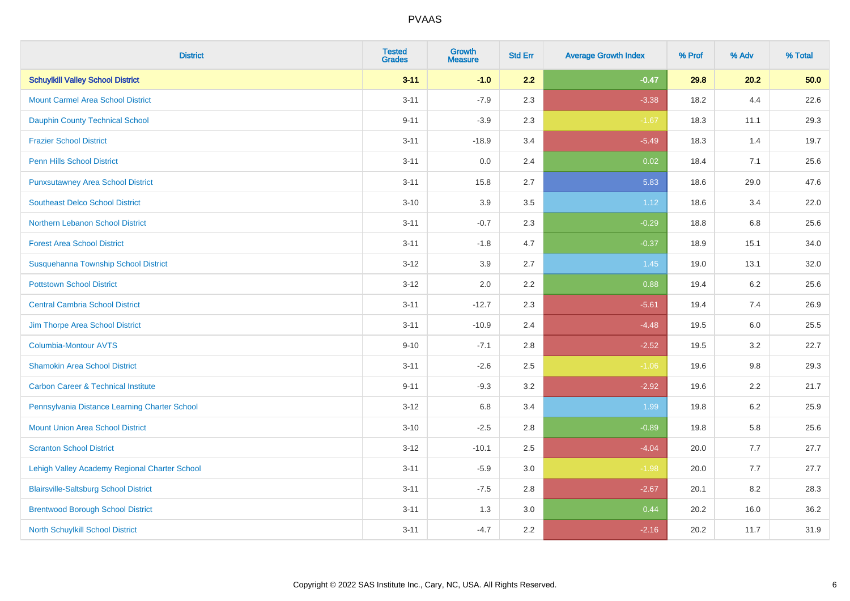| <b>District</b>                                | <b>Tested</b><br><b>Grades</b> | <b>Growth</b><br><b>Measure</b> | <b>Std Err</b> | <b>Average Growth Index</b> | % Prof | % Adv   | % Total |
|------------------------------------------------|--------------------------------|---------------------------------|----------------|-----------------------------|--------|---------|---------|
| <b>Schuylkill Valley School District</b>       | $3 - 11$                       | $-1.0$                          | 2.2            | $-0.47$                     | 29.8   | 20.2    | 50.0    |
| <b>Mount Carmel Area School District</b>       | $3 - 11$                       | $-7.9$                          | 2.3            | $-3.38$                     | 18.2   | 4.4     | 22.6    |
| <b>Dauphin County Technical School</b>         | $9 - 11$                       | $-3.9$                          | 2.3            | $-1.67$                     | 18.3   | 11.1    | 29.3    |
| <b>Frazier School District</b>                 | $3 - 11$                       | $-18.9$                         | 3.4            | $-5.49$                     | 18.3   | 1.4     | 19.7    |
| <b>Penn Hills School District</b>              | $3 - 11$                       | 0.0                             | 2.4            | 0.02                        | 18.4   | 7.1     | 25.6    |
| <b>Punxsutawney Area School District</b>       | $3 - 11$                       | 15.8                            | 2.7            | 5.83                        | 18.6   | 29.0    | 47.6    |
| <b>Southeast Delco School District</b>         | $3 - 10$                       | 3.9                             | 3.5            | 1.12                        | 18.6   | 3.4     | 22.0    |
| <b>Northern Lebanon School District</b>        | $3 - 11$                       | $-0.7$                          | 2.3            | $-0.29$                     | 18.8   | 6.8     | 25.6    |
| <b>Forest Area School District</b>             | $3 - 11$                       | $-1.8$                          | 4.7            | $-0.37$                     | 18.9   | 15.1    | 34.0    |
| Susquehanna Township School District           | $3 - 12$                       | 3.9                             | 2.7            | 1.45                        | 19.0   | 13.1    | 32.0    |
| <b>Pottstown School District</b>               | $3 - 12$                       | 2.0                             | 2.2            | 0.88                        | 19.4   | 6.2     | 25.6    |
| <b>Central Cambria School District</b>         | $3 - 11$                       | $-12.7$                         | 2.3            | $-5.61$                     | 19.4   | 7.4     | 26.9    |
| Jim Thorpe Area School District                | $3 - 11$                       | $-10.9$                         | 2.4            | $-4.48$                     | 19.5   | $6.0\,$ | 25.5    |
| <b>Columbia-Montour AVTS</b>                   | $9 - 10$                       | $-7.1$                          | 2.8            | $-2.52$                     | 19.5   | 3.2     | 22.7    |
| <b>Shamokin Area School District</b>           | $3 - 11$                       | $-2.6$                          | 2.5            | $-1.06$                     | 19.6   | $9.8\,$ | 29.3    |
| <b>Carbon Career &amp; Technical Institute</b> | $9 - 11$                       | $-9.3$                          | 3.2            | $-2.92$                     | 19.6   | 2.2     | 21.7    |
| Pennsylvania Distance Learning Charter School  | $3 - 12$                       | 6.8                             | 3.4            | 1.99                        | 19.8   | 6.2     | 25.9    |
| <b>Mount Union Area School District</b>        | $3 - 10$                       | $-2.5$                          | 2.8            | $-0.89$                     | 19.8   | 5.8     | 25.6    |
| <b>Scranton School District</b>                | $3 - 12$                       | $-10.1$                         | 2.5            | $-4.04$                     | 20.0   | 7.7     | 27.7    |
| Lehigh Valley Academy Regional Charter School  | $3 - 11$                       | $-5.9$                          | 3.0            | $-1.98$                     | 20.0   | 7.7     | 27.7    |
| <b>Blairsville-Saltsburg School District</b>   | $3 - 11$                       | $-7.5$                          | 2.8            | $-2.67$                     | 20.1   | 8.2     | 28.3    |
| <b>Brentwood Borough School District</b>       | $3 - 11$                       | 1.3                             | 3.0            | 0.44                        | 20.2   | 16.0    | 36.2    |
| North Schuylkill School District               | $3 - 11$                       | $-4.7$                          | 2.2            | $-2.16$                     | 20.2   | 11.7    | 31.9    |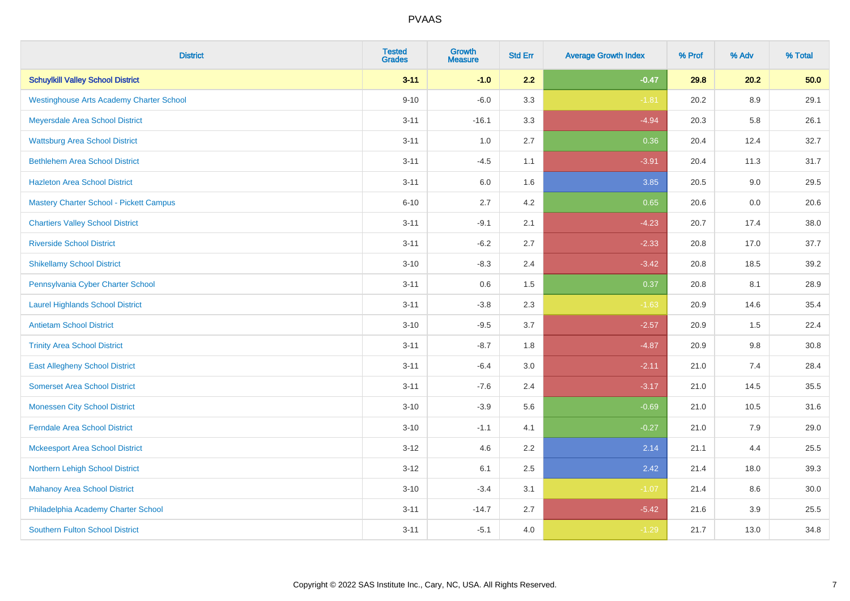| <b>District</b>                                 | <b>Tested</b><br><b>Grades</b> | <b>Growth</b><br><b>Measure</b> | <b>Std Err</b> | <b>Average Growth Index</b> | % Prof | % Adv   | % Total |
|-------------------------------------------------|--------------------------------|---------------------------------|----------------|-----------------------------|--------|---------|---------|
| <b>Schuylkill Valley School District</b>        | $3 - 11$                       | $-1.0$                          | 2.2            | $-0.47$                     | 29.8   | 20.2    | 50.0    |
| <b>Westinghouse Arts Academy Charter School</b> | $9 - 10$                       | $-6.0$                          | 3.3            | $-1.81$                     | 20.2   | $8.9\,$ | 29.1    |
| Meyersdale Area School District                 | $3 - 11$                       | $-16.1$                         | 3.3            | $-4.94$                     | 20.3   | 5.8     | 26.1    |
| <b>Wattsburg Area School District</b>           | $3 - 11$                       | 1.0                             | 2.7            | 0.36                        | 20.4   | 12.4    | 32.7    |
| <b>Bethlehem Area School District</b>           | $3 - 11$                       | $-4.5$                          | 1.1            | $-3.91$                     | 20.4   | 11.3    | 31.7    |
| <b>Hazleton Area School District</b>            | $3 - 11$                       | 6.0                             | 1.6            | 3.85                        | 20.5   | 9.0     | 29.5    |
| <b>Mastery Charter School - Pickett Campus</b>  | $6 - 10$                       | 2.7                             | 4.2            | 0.65                        | 20.6   | 0.0     | 20.6    |
| <b>Chartiers Valley School District</b>         | $3 - 11$                       | $-9.1$                          | 2.1            | $-4.23$                     | 20.7   | 17.4    | 38.0    |
| <b>Riverside School District</b>                | $3 - 11$                       | $-6.2$                          | 2.7            | $-2.33$                     | 20.8   | 17.0    | 37.7    |
| <b>Shikellamy School District</b>               | $3 - 10$                       | $-8.3$                          | 2.4            | $-3.42$                     | 20.8   | 18.5    | 39.2    |
| Pennsylvania Cyber Charter School               | $3 - 11$                       | 0.6                             | 1.5            | 0.37                        | 20.8   | 8.1     | 28.9    |
| <b>Laurel Highlands School District</b>         | $3 - 11$                       | $-3.8$                          | 2.3            | $-1.63$                     | 20.9   | 14.6    | 35.4    |
| <b>Antietam School District</b>                 | $3 - 10$                       | $-9.5$                          | 3.7            | $-2.57$                     | 20.9   | $1.5\,$ | 22.4    |
| <b>Trinity Area School District</b>             | $3 - 11$                       | $-8.7$                          | 1.8            | $-4.87$                     | 20.9   | 9.8     | 30.8    |
| <b>East Allegheny School District</b>           | $3 - 11$                       | $-6.4$                          | 3.0            | $-2.11$                     | 21.0   | 7.4     | 28.4    |
| <b>Somerset Area School District</b>            | $3 - 11$                       | $-7.6$                          | 2.4            | $-3.17$                     | 21.0   | 14.5    | 35.5    |
| <b>Monessen City School District</b>            | $3 - 10$                       | $-3.9$                          | 5.6            | $-0.69$                     | 21.0   | 10.5    | 31.6    |
| <b>Ferndale Area School District</b>            | $3 - 10$                       | $-1.1$                          | 4.1            | $-0.27$                     | 21.0   | 7.9     | 29.0    |
| <b>Mckeesport Area School District</b>          | $3 - 12$                       | 4.6                             | 2.2            | 2.14                        | 21.1   | 4.4     | 25.5    |
| Northern Lehigh School District                 | $3 - 12$                       | 6.1                             | 2.5            | 2.42                        | 21.4   | 18.0    | 39.3    |
| <b>Mahanoy Area School District</b>             | $3 - 10$                       | $-3.4$                          | 3.1            | $-1.07$                     | 21.4   | 8.6     | 30.0    |
| Philadelphia Academy Charter School             | $3 - 11$                       | $-14.7$                         | 2.7            | $-5.42$                     | 21.6   | 3.9     | 25.5    |
| <b>Southern Fulton School District</b>          | $3 - 11$                       | $-5.1$                          | 4.0            | $-1.29$                     | 21.7   | 13.0    | 34.8    |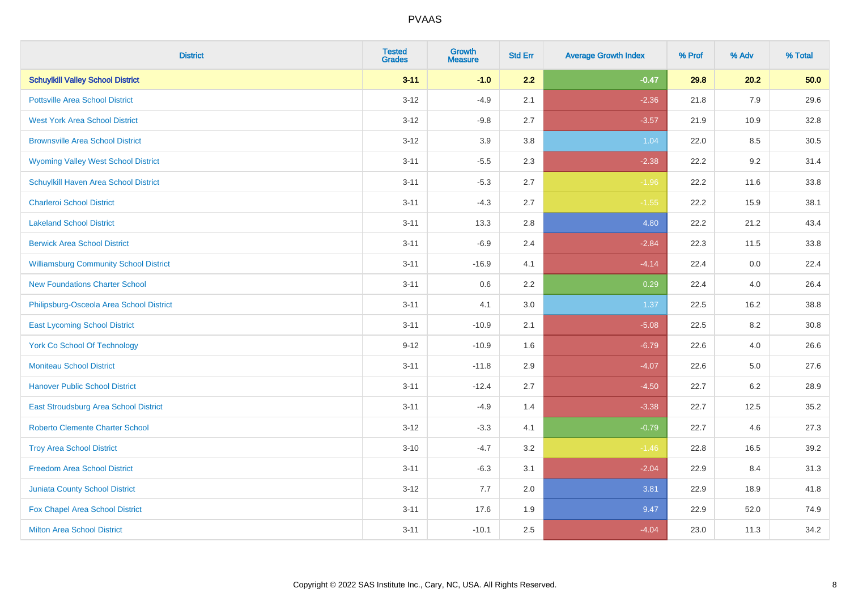| <b>District</b>                               | <b>Tested</b><br><b>Grades</b> | <b>Growth</b><br><b>Measure</b> | <b>Std Err</b> | <b>Average Growth Index</b> | % Prof | % Adv | % Total |
|-----------------------------------------------|--------------------------------|---------------------------------|----------------|-----------------------------|--------|-------|---------|
| <b>Schuylkill Valley School District</b>      | $3 - 11$                       | $-1.0$                          | 2.2            | $-0.47$                     | 29.8   | 20.2  | 50.0    |
| <b>Pottsville Area School District</b>        | $3 - 12$                       | $-4.9$                          | 2.1            | $-2.36$                     | 21.8   | 7.9   | 29.6    |
| <b>West York Area School District</b>         | $3 - 12$                       | $-9.8$                          | 2.7            | $-3.57$                     | 21.9   | 10.9  | 32.8    |
| <b>Brownsville Area School District</b>       | $3 - 12$                       | 3.9                             | 3.8            | 1.04                        | 22.0   | 8.5   | 30.5    |
| <b>Wyoming Valley West School District</b>    | $3 - 11$                       | $-5.5$                          | 2.3            | $-2.38$                     | 22.2   | 9.2   | 31.4    |
| Schuylkill Haven Area School District         | $3 - 11$                       | $-5.3$                          | 2.7            | $-1.96$                     | 22.2   | 11.6  | 33.8    |
| <b>Charleroi School District</b>              | $3 - 11$                       | $-4.3$                          | 2.7            | $-1.55$                     | 22.2   | 15.9  | 38.1    |
| <b>Lakeland School District</b>               | $3 - 11$                       | 13.3                            | 2.8            | 4.80                        | 22.2   | 21.2  | 43.4    |
| <b>Berwick Area School District</b>           | $3 - 11$                       | $-6.9$                          | 2.4            | $-2.84$                     | 22.3   | 11.5  | 33.8    |
| <b>Williamsburg Community School District</b> | $3 - 11$                       | $-16.9$                         | 4.1            | $-4.14$                     | 22.4   | 0.0   | 22.4    |
| <b>New Foundations Charter School</b>         | $3 - 11$                       | 0.6                             | 2.2            | 0.29                        | 22.4   | 4.0   | 26.4    |
| Philipsburg-Osceola Area School District      | $3 - 11$                       | 4.1                             | 3.0            | 1.37                        | 22.5   | 16.2  | 38.8    |
| <b>East Lycoming School District</b>          | $3 - 11$                       | $-10.9$                         | 2.1            | $-5.08$                     | 22.5   | 8.2   | 30.8    |
| <b>York Co School Of Technology</b>           | $9 - 12$                       | $-10.9$                         | 1.6            | $-6.79$                     | 22.6   | 4.0   | 26.6    |
| <b>Moniteau School District</b>               | $3 - 11$                       | $-11.8$                         | 2.9            | $-4.07$                     | 22.6   | 5.0   | 27.6    |
| <b>Hanover Public School District</b>         | $3 - 11$                       | $-12.4$                         | 2.7            | $-4.50$                     | 22.7   | 6.2   | 28.9    |
| East Stroudsburg Area School District         | $3 - 11$                       | $-4.9$                          | 1.4            | $-3.38$                     | 22.7   | 12.5  | 35.2    |
| <b>Roberto Clemente Charter School</b>        | $3 - 12$                       | $-3.3$                          | 4.1            | $-0.79$                     | 22.7   | 4.6   | 27.3    |
| <b>Troy Area School District</b>              | $3 - 10$                       | $-4.7$                          | 3.2            | $-1.46$                     | 22.8   | 16.5  | 39.2    |
| <b>Freedom Area School District</b>           | $3 - 11$                       | $-6.3$                          | 3.1            | $-2.04$                     | 22.9   | 8.4   | 31.3    |
| <b>Juniata County School District</b>         | $3 - 12$                       | 7.7                             | 2.0            | 3.81                        | 22.9   | 18.9  | 41.8    |
| Fox Chapel Area School District               | $3 - 11$                       | 17.6                            | 1.9            | 9.47                        | 22.9   | 52.0  | 74.9    |
| <b>Milton Area School District</b>            | $3 - 11$                       | $-10.1$                         | 2.5            | $-4.04$                     | 23.0   | 11.3  | 34.2    |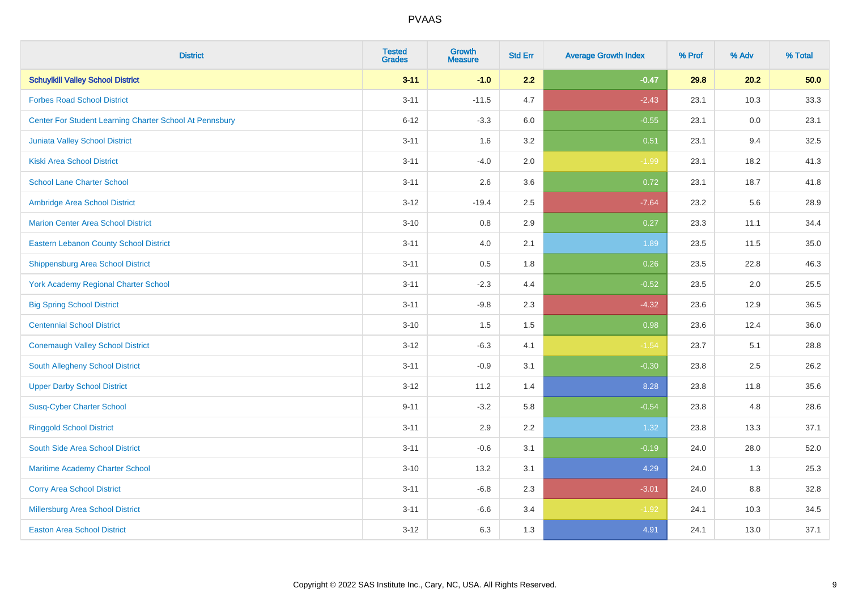| <b>District</b>                                         | <b>Tested</b><br><b>Grades</b> | <b>Growth</b><br><b>Measure</b> | <b>Std Err</b> | <b>Average Growth Index</b> | % Prof | % Adv | % Total |
|---------------------------------------------------------|--------------------------------|---------------------------------|----------------|-----------------------------|--------|-------|---------|
| <b>Schuylkill Valley School District</b>                | $3 - 11$                       | $-1.0$                          | 2.2            | $-0.47$                     | 29.8   | 20.2  | 50.0    |
| <b>Forbes Road School District</b>                      | $3 - 11$                       | $-11.5$                         | 4.7            | $-2.43$                     | 23.1   | 10.3  | 33.3    |
| Center For Student Learning Charter School At Pennsbury | $6 - 12$                       | $-3.3$                          | 6.0            | $-0.55$                     | 23.1   | 0.0   | 23.1    |
| Juniata Valley School District                          | $3 - 11$                       | 1.6                             | 3.2            | 0.51                        | 23.1   | 9.4   | 32.5    |
| <b>Kiski Area School District</b>                       | $3 - 11$                       | $-4.0$                          | 2.0            | $-1.99$                     | 23.1   | 18.2  | 41.3    |
| <b>School Lane Charter School</b>                       | $3 - 11$                       | 2.6                             | 3.6            | 0.72                        | 23.1   | 18.7  | 41.8    |
| Ambridge Area School District                           | $3 - 12$                       | $-19.4$                         | 2.5            | $-7.64$                     | 23.2   | 5.6   | 28.9    |
| <b>Marion Center Area School District</b>               | $3 - 10$                       | 0.8                             | 2.9            | 0.27                        | 23.3   | 11.1  | 34.4    |
| <b>Eastern Lebanon County School District</b>           | $3 - 11$                       | 4.0                             | 2.1            | 1.89                        | 23.5   | 11.5  | 35.0    |
| <b>Shippensburg Area School District</b>                | $3 - 11$                       | 0.5                             | 1.8            | 0.26                        | 23.5   | 22.8  | 46.3    |
| <b>York Academy Regional Charter School</b>             | $3 - 11$                       | $-2.3$                          | 4.4            | $-0.52$                     | 23.5   | 2.0   | 25.5    |
| <b>Big Spring School District</b>                       | $3 - 11$                       | $-9.8$                          | 2.3            | $-4.32$                     | 23.6   | 12.9  | 36.5    |
| <b>Centennial School District</b>                       | $3 - 10$                       | 1.5                             | 1.5            | 0.98                        | 23.6   | 12.4  | 36.0    |
| <b>Conemaugh Valley School District</b>                 | $3 - 12$                       | $-6.3$                          | 4.1            | $-1.54$                     | 23.7   | 5.1   | 28.8    |
| South Allegheny School District                         | $3 - 11$                       | $-0.9$                          | 3.1            | $-0.30$                     | 23.8   | 2.5   | 26.2    |
| <b>Upper Darby School District</b>                      | $3 - 12$                       | 11.2                            | 1.4            | 8.28                        | 23.8   | 11.8  | 35.6    |
| <b>Susq-Cyber Charter School</b>                        | $9 - 11$                       | $-3.2$                          | 5.8            | $-0.54$                     | 23.8   | 4.8   | 28.6    |
| <b>Ringgold School District</b>                         | $3 - 11$                       | 2.9                             | 2.2            | 1.32                        | 23.8   | 13.3  | 37.1    |
| South Side Area School District                         | $3 - 11$                       | $-0.6$                          | 3.1            | $-0.19$                     | 24.0   | 28.0  | 52.0    |
| Maritime Academy Charter School                         | $3 - 10$                       | 13.2                            | 3.1            | 4.29                        | 24.0   | 1.3   | 25.3    |
| <b>Corry Area School District</b>                       | $3 - 11$                       | $-6.8$                          | 2.3            | $-3.01$                     | 24.0   | 8.8   | 32.8    |
| Millersburg Area School District                        | $3 - 11$                       | $-6.6$                          | 3.4            | $-1.92$                     | 24.1   | 10.3  | 34.5    |
| <b>Easton Area School District</b>                      | $3 - 12$                       | 6.3                             | 1.3            | 4.91                        | 24.1   | 13.0  | 37.1    |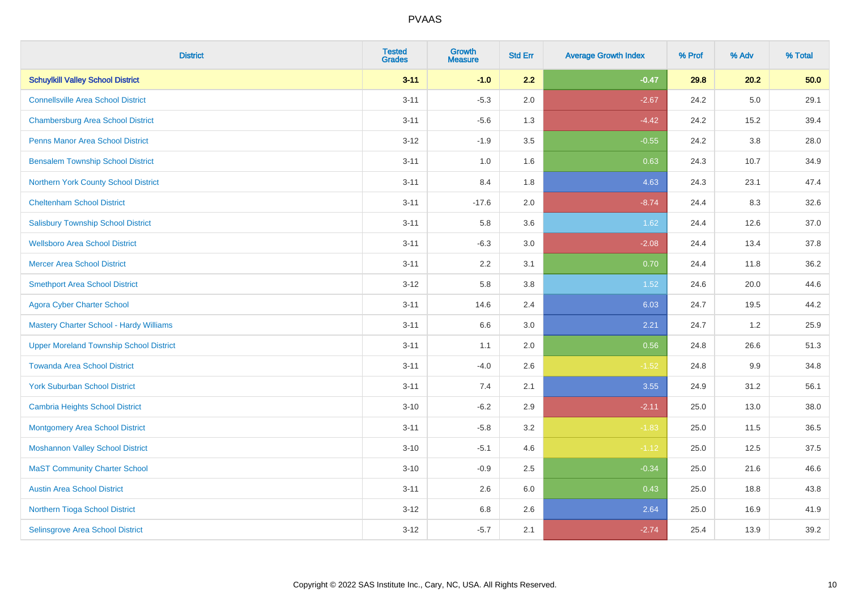| <b>District</b>                                | <b>Tested</b><br><b>Grades</b> | <b>Growth</b><br><b>Measure</b> | <b>Std Err</b> | <b>Average Growth Index</b> | % Prof | % Adv   | % Total |
|------------------------------------------------|--------------------------------|---------------------------------|----------------|-----------------------------|--------|---------|---------|
| <b>Schuylkill Valley School District</b>       | $3 - 11$                       | $-1.0$                          | 2.2            | $-0.47$                     | 29.8   | 20.2    | 50.0    |
| <b>Connellsville Area School District</b>      | $3 - 11$                       | $-5.3$                          | 2.0            | $-2.67$                     | 24.2   | $5.0\,$ | 29.1    |
| <b>Chambersburg Area School District</b>       | $3 - 11$                       | $-5.6$                          | 1.3            | $-4.42$                     | 24.2   | 15.2    | 39.4    |
| <b>Penns Manor Area School District</b>        | $3 - 12$                       | $-1.9$                          | 3.5            | $-0.55$                     | 24.2   | $3.8\,$ | 28.0    |
| <b>Bensalem Township School District</b>       | $3 - 11$                       | 1.0                             | 1.6            | 0.63                        | 24.3   | 10.7    | 34.9    |
| Northern York County School District           | $3 - 11$                       | 8.4                             | 1.8            | 4.63                        | 24.3   | 23.1    | 47.4    |
| <b>Cheltenham School District</b>              | $3 - 11$                       | $-17.6$                         | 2.0            | $-8.74$                     | 24.4   | 8.3     | 32.6    |
| <b>Salisbury Township School District</b>      | $3 - 11$                       | 5.8                             | 3.6            | 1.62                        | 24.4   | 12.6    | 37.0    |
| <b>Wellsboro Area School District</b>          | $3 - 11$                       | $-6.3$                          | 3.0            | $-2.08$                     | 24.4   | 13.4    | 37.8    |
| <b>Mercer Area School District</b>             | $3 - 11$                       | $2.2\,$                         | 3.1            | 0.70                        | 24.4   | 11.8    | 36.2    |
| <b>Smethport Area School District</b>          | $3 - 12$                       | 5.8                             | 3.8            | 1.52                        | 24.6   | 20.0    | 44.6    |
| <b>Agora Cyber Charter School</b>              | $3 - 11$                       | 14.6                            | 2.4            | 6.03                        | 24.7   | 19.5    | 44.2    |
| Mastery Charter School - Hardy Williams        | $3 - 11$                       | 6.6                             | 3.0            | 2.21                        | 24.7   | 1.2     | 25.9    |
| <b>Upper Moreland Township School District</b> | $3 - 11$                       | 1.1                             | 2.0            | 0.56                        | 24.8   | 26.6    | 51.3    |
| <b>Towanda Area School District</b>            | $3 - 11$                       | $-4.0$                          | 2.6            | $-1.52$                     | 24.8   | 9.9     | 34.8    |
| <b>York Suburban School District</b>           | $3 - 11$                       | 7.4                             | 2.1            | 3.55                        | 24.9   | 31.2    | 56.1    |
| Cambria Heights School District                | $3 - 10$                       | $-6.2$                          | 2.9            | $-2.11$                     | 25.0   | 13.0    | 38.0    |
| <b>Montgomery Area School District</b>         | $3 - 11$                       | $-5.8$                          | 3.2            | $-1.83$                     | 25.0   | 11.5    | 36.5    |
| <b>Moshannon Valley School District</b>        | $3 - 10$                       | $-5.1$                          | 4.6            | $-1.12$                     | 25.0   | 12.5    | 37.5    |
| <b>MaST Community Charter School</b>           | $3 - 10$                       | $-0.9$                          | 2.5            | $-0.34$                     | 25.0   | 21.6    | 46.6    |
| <b>Austin Area School District</b>             | $3 - 11$                       | 2.6                             | 6.0            | 0.43                        | 25.0   | 18.8    | 43.8    |
| Northern Tioga School District                 | $3 - 12$                       | 6.8                             | 2.6            | 2.64                        | 25.0   | 16.9    | 41.9    |
| Selinsgrove Area School District               | $3 - 12$                       | $-5.7$                          | 2.1            | $-2.74$                     | 25.4   | 13.9    | 39.2    |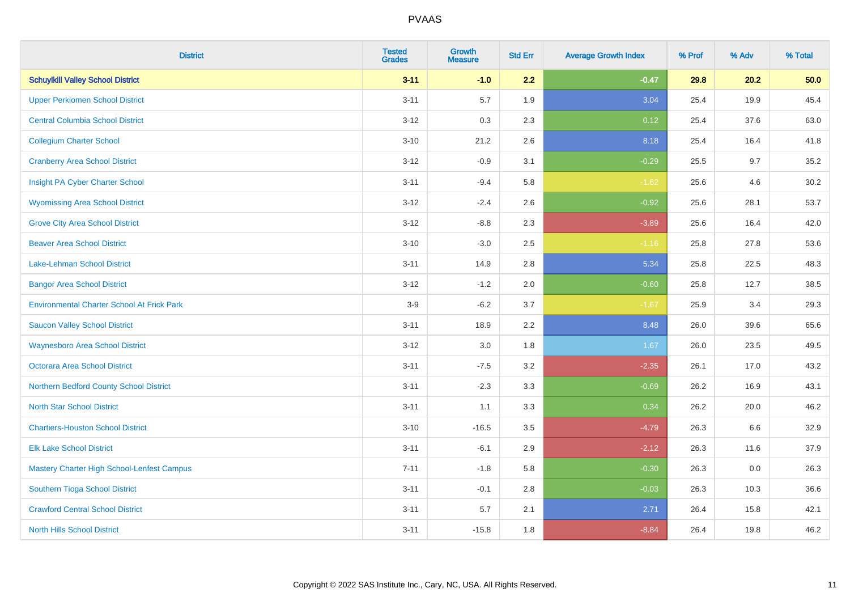| <b>District</b>                                   | <b>Tested</b><br><b>Grades</b> | <b>Growth</b><br><b>Measure</b> | <b>Std Err</b> | <b>Average Growth Index</b> | % Prof | % Adv | % Total |
|---------------------------------------------------|--------------------------------|---------------------------------|----------------|-----------------------------|--------|-------|---------|
| <b>Schuylkill Valley School District</b>          | $3 - 11$                       | $-1.0$                          | 2.2            | $-0.47$                     | 29.8   | 20.2  | 50.0    |
| <b>Upper Perkiomen School District</b>            | $3 - 11$                       | 5.7                             | 1.9            | 3.04                        | 25.4   | 19.9  | 45.4    |
| <b>Central Columbia School District</b>           | $3 - 12$                       | 0.3                             | 2.3            | 0.12                        | 25.4   | 37.6  | 63.0    |
| <b>Collegium Charter School</b>                   | $3 - 10$                       | 21.2                            | 2.6            | 8.18                        | 25.4   | 16.4  | 41.8    |
| <b>Cranberry Area School District</b>             | $3-12$                         | $-0.9$                          | 3.1            | $-0.29$                     | 25.5   | 9.7   | 35.2    |
| Insight PA Cyber Charter School                   | $3 - 11$                       | $-9.4$                          | 5.8            | $-1.62$                     | 25.6   | 4.6   | 30.2    |
| <b>Wyomissing Area School District</b>            | $3 - 12$                       | $-2.4$                          | 2.6            | $-0.92$                     | 25.6   | 28.1  | 53.7    |
| <b>Grove City Area School District</b>            | $3-12$                         | $-8.8$                          | 2.3            | $-3.89$                     | 25.6   | 16.4  | 42.0    |
| <b>Beaver Area School District</b>                | $3 - 10$                       | $-3.0$                          | 2.5            | $-1.16$                     | 25.8   | 27.8  | 53.6    |
| Lake-Lehman School District                       | $3 - 11$                       | 14.9                            | 2.8            | 5.34                        | 25.8   | 22.5  | 48.3    |
| <b>Bangor Area School District</b>                | $3 - 12$                       | $-1.2$                          | 2.0            | $-0.60$                     | 25.8   | 12.7  | 38.5    |
| <b>Environmental Charter School At Frick Park</b> | $3-9$                          | $-6.2$                          | 3.7            | $-1.67$                     | 25.9   | 3.4   | 29.3    |
| <b>Saucon Valley School District</b>              | $3 - 11$                       | 18.9                            | 2.2            | 8.48                        | 26.0   | 39.6  | 65.6    |
| <b>Waynesboro Area School District</b>            | $3 - 12$                       | 3.0                             | 1.8            | 1.67                        | 26.0   | 23.5  | 49.5    |
| <b>Octorara Area School District</b>              | $3 - 11$                       | $-7.5$                          | 3.2            | $-2.35$                     | 26.1   | 17.0  | 43.2    |
| Northern Bedford County School District           | $3 - 11$                       | $-2.3$                          | 3.3            | $-0.69$                     | 26.2   | 16.9  | 43.1    |
| <b>North Star School District</b>                 | $3 - 11$                       | 1.1                             | 3.3            | 0.34                        | 26.2   | 20.0  | 46.2    |
| <b>Chartiers-Houston School District</b>          | $3 - 10$                       | $-16.5$                         | 3.5            | $-4.79$                     | 26.3   | 6.6   | 32.9    |
| <b>Elk Lake School District</b>                   | $3 - 11$                       | $-6.1$                          | 2.9            | $-2.12$                     | 26.3   | 11.6  | 37.9    |
| Mastery Charter High School-Lenfest Campus        | $7 - 11$                       | $-1.8$                          | 5.8            | $-0.30$                     | 26.3   | 0.0   | 26.3    |
| Southern Tioga School District                    | $3 - 11$                       | $-0.1$                          | 2.8            | $-0.03$                     | 26.3   | 10.3  | 36.6    |
| <b>Crawford Central School District</b>           | $3 - 11$                       | 5.7                             | 2.1            | 2.71                        | 26.4   | 15.8  | 42.1    |
| <b>North Hills School District</b>                | $3 - 11$                       | $-15.8$                         | 1.8            | $-8.84$                     | 26.4   | 19.8  | 46.2    |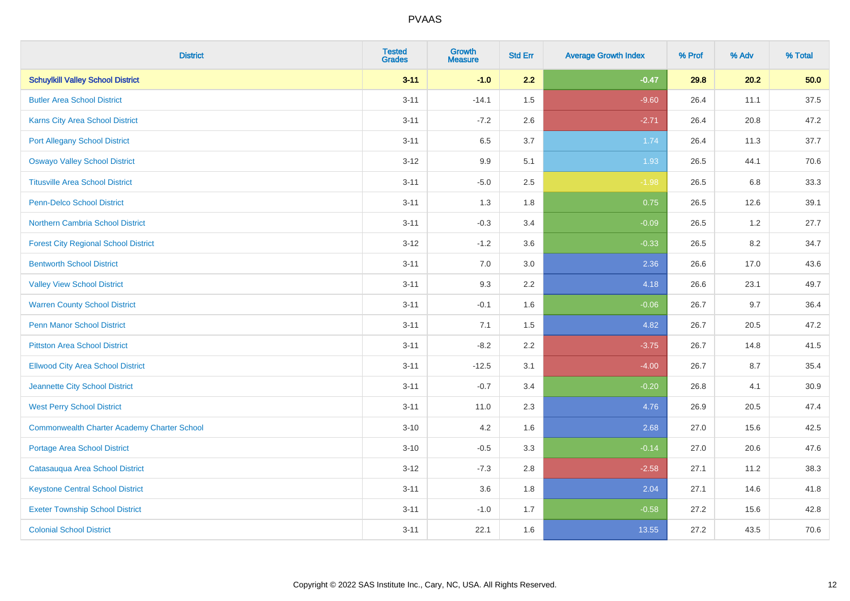| <b>District</b>                                    | <b>Tested</b><br><b>Grades</b> | <b>Growth</b><br><b>Measure</b> | <b>Std Err</b> | <b>Average Growth Index</b> | % Prof | % Adv | % Total  |
|----------------------------------------------------|--------------------------------|---------------------------------|----------------|-----------------------------|--------|-------|----------|
| <b>Schuylkill Valley School District</b>           | $3 - 11$                       | $-1.0$                          | 2.2            | $-0.47$                     | 29.8   | 20.2  | 50.0     |
| <b>Butler Area School District</b>                 | $3 - 11$                       | $-14.1$                         | 1.5            | $-9.60$                     | 26.4   | 11.1  | 37.5     |
| Karns City Area School District                    | $3 - 11$                       | $-7.2$                          | 2.6            | $-2.71$                     | 26.4   | 20.8  | 47.2     |
| <b>Port Allegany School District</b>               | $3 - 11$                       | 6.5                             | 3.7            | 1.74                        | 26.4   | 11.3  | 37.7     |
| <b>Oswayo Valley School District</b>               | $3 - 12$                       | 9.9                             | 5.1            | 1.93                        | 26.5   | 44.1  | 70.6     |
| <b>Titusville Area School District</b>             | $3 - 11$                       | $-5.0$                          | 2.5            | $-1.98$                     | 26.5   | 6.8   | 33.3     |
| Penn-Delco School District                         | $3 - 11$                       | 1.3                             | 1.8            | 0.75                        | 26.5   | 12.6  | 39.1     |
| Northern Cambria School District                   | $3 - 11$                       | $-0.3$                          | 3.4            | $-0.09$                     | 26.5   | 1.2   | 27.7     |
| <b>Forest City Regional School District</b>        | $3 - 12$                       | $-1.2$                          | 3.6            | $-0.33$                     | 26.5   | 8.2   | 34.7     |
| <b>Bentworth School District</b>                   | $3 - 11$                       | 7.0                             | 3.0            | 2.36                        | 26.6   | 17.0  | 43.6     |
| <b>Valley View School District</b>                 | $3 - 11$                       | 9.3                             | 2.2            | 4.18                        | 26.6   | 23.1  | 49.7     |
| <b>Warren County School District</b>               | $3 - 11$                       | $-0.1$                          | 1.6            | $-0.06$                     | 26.7   | 9.7   | 36.4     |
| <b>Penn Manor School District</b>                  | $3 - 11$                       | 7.1                             | 1.5            | 4.82                        | 26.7   | 20.5  | 47.2     |
| <b>Pittston Area School District</b>               | $3 - 11$                       | $-8.2$                          | 2.2            | $-3.75$                     | 26.7   | 14.8  | 41.5     |
| <b>Ellwood City Area School District</b>           | $3 - 11$                       | $-12.5$                         | 3.1            | $-4.00$                     | 26.7   | 8.7   | 35.4     |
| Jeannette City School District                     | $3 - 11$                       | $-0.7$                          | 3.4            | $-0.20$                     | 26.8   | 4.1   | $30.9\,$ |
| <b>West Perry School District</b>                  | $3 - 11$                       | 11.0                            | 2.3            | 4.76                        | 26.9   | 20.5  | 47.4     |
| <b>Commonwealth Charter Academy Charter School</b> | $3 - 10$                       | 4.2                             | 1.6            | 2.68                        | 27.0   | 15.6  | 42.5     |
| <b>Portage Area School District</b>                | $3 - 10$                       | $-0.5$                          | 3.3            | $-0.14$                     | 27.0   | 20.6  | 47.6     |
| Catasauqua Area School District                    | $3-12$                         | $-7.3$                          | 2.8            | $-2.58$                     | 27.1   | 11.2  | 38.3     |
| <b>Keystone Central School District</b>            | $3 - 11$                       | 3.6                             | 1.8            | 2.04                        | 27.1   | 14.6  | 41.8     |
| <b>Exeter Township School District</b>             | $3 - 11$                       | $-1.0$                          | 1.7            | $-0.58$                     | 27.2   | 15.6  | 42.8     |
| <b>Colonial School District</b>                    | $3 - 11$                       | 22.1                            | 1.6            | 13.55                       | 27.2   | 43.5  | 70.6     |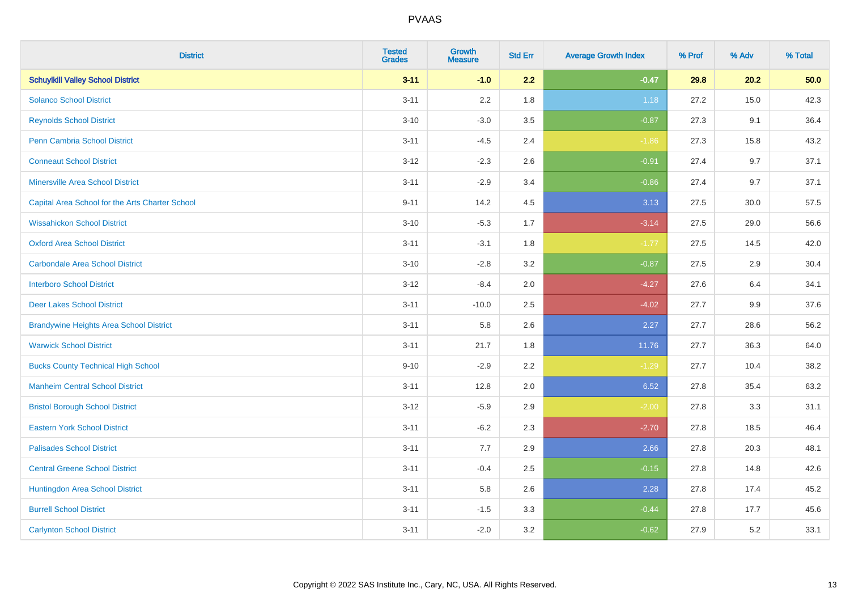| <b>District</b>                                 | <b>Tested</b><br><b>Grades</b> | <b>Growth</b><br><b>Measure</b> | <b>Std Err</b> | <b>Average Growth Index</b> | % Prof | % Adv | % Total |
|-------------------------------------------------|--------------------------------|---------------------------------|----------------|-----------------------------|--------|-------|---------|
| <b>Schuylkill Valley School District</b>        | $3 - 11$                       | $-1.0$                          | 2.2            | $-0.47$                     | 29.8   | 20.2  | 50.0    |
| <b>Solanco School District</b>                  | $3 - 11$                       | 2.2                             | 1.8            | 1.18                        | 27.2   | 15.0  | 42.3    |
| <b>Reynolds School District</b>                 | $3 - 10$                       | $-3.0$                          | 3.5            | $-0.87$                     | 27.3   | 9.1   | 36.4    |
| <b>Penn Cambria School District</b>             | $3 - 11$                       | $-4.5$                          | 2.4            | $-1.86$                     | 27.3   | 15.8  | 43.2    |
| <b>Conneaut School District</b>                 | $3 - 12$                       | $-2.3$                          | 2.6            | $-0.91$                     | 27.4   | 9.7   | 37.1    |
| <b>Minersville Area School District</b>         | $3 - 11$                       | $-2.9$                          | 3.4            | $-0.86$                     | 27.4   | 9.7   | 37.1    |
| Capital Area School for the Arts Charter School | $9 - 11$                       | 14.2                            | 4.5            | 3.13                        | 27.5   | 30.0  | 57.5    |
| <b>Wissahickon School District</b>              | $3 - 10$                       | $-5.3$                          | 1.7            | $-3.14$                     | 27.5   | 29.0  | 56.6    |
| <b>Oxford Area School District</b>              | $3 - 11$                       | $-3.1$                          | 1.8            | $-1.77$                     | 27.5   | 14.5  | 42.0    |
| <b>Carbondale Area School District</b>          | $3 - 10$                       | $-2.8$                          | 3.2            | $-0.87$                     | 27.5   | 2.9   | 30.4    |
| <b>Interboro School District</b>                | $3 - 12$                       | $-8.4$                          | 2.0            | $-4.27$                     | 27.6   | 6.4   | 34.1    |
| <b>Deer Lakes School District</b>               | $3 - 11$                       | $-10.0$                         | 2.5            | $-4.02$                     | 27.7   | 9.9   | 37.6    |
| <b>Brandywine Heights Area School District</b>  | $3 - 11$                       | 5.8                             | 2.6            | 2.27                        | 27.7   | 28.6  | 56.2    |
| <b>Warwick School District</b>                  | $3 - 11$                       | 21.7                            | 1.8            | 11.76                       | 27.7   | 36.3  | 64.0    |
| <b>Bucks County Technical High School</b>       | $9 - 10$                       | $-2.9$                          | 2.2            | $-1.29$                     | 27.7   | 10.4  | 38.2    |
| <b>Manheim Central School District</b>          | $3 - 11$                       | 12.8                            | 2.0            | 6.52                        | 27.8   | 35.4  | 63.2    |
| <b>Bristol Borough School District</b>          | $3 - 12$                       | $-5.9$                          | 2.9            | $-2.00$                     | 27.8   | 3.3   | 31.1    |
| <b>Eastern York School District</b>             | $3 - 11$                       | $-6.2$                          | 2.3            | $-2.70$                     | 27.8   | 18.5  | 46.4    |
| <b>Palisades School District</b>                | $3 - 11$                       | 7.7                             | 2.9            | 2.66                        | 27.8   | 20.3  | 48.1    |
| <b>Central Greene School District</b>           | $3 - 11$                       | $-0.4$                          | 2.5            | $-0.15$                     | 27.8   | 14.8  | 42.6    |
| Huntingdon Area School District                 | $3 - 11$                       | 5.8                             | 2.6            | 2.28                        | 27.8   | 17.4  | 45.2    |
| <b>Burrell School District</b>                  | $3 - 11$                       | $-1.5$                          | 3.3            | $-0.44$                     | 27.8   | 17.7  | 45.6    |
| <b>Carlynton School District</b>                | $3 - 11$                       | $-2.0$                          | 3.2            | $-0.62$                     | 27.9   | 5.2   | 33.1    |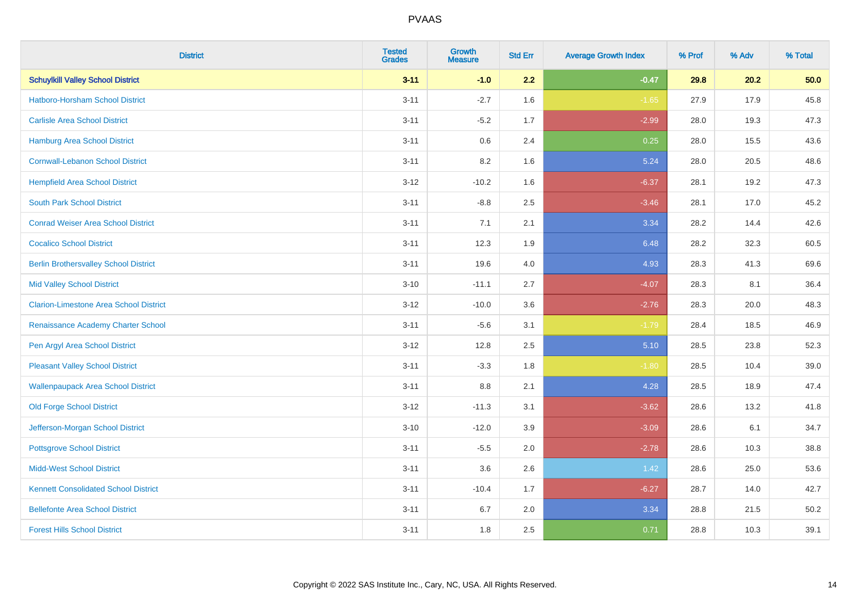| <b>District</b>                               | <b>Tested</b><br><b>Grades</b> | <b>Growth</b><br><b>Measure</b> | <b>Std Err</b> | <b>Average Growth Index</b> | % Prof | % Adv | % Total |
|-----------------------------------------------|--------------------------------|---------------------------------|----------------|-----------------------------|--------|-------|---------|
| <b>Schuylkill Valley School District</b>      | $3 - 11$                       | $-1.0$                          | 2.2            | $-0.47$                     | 29.8   | 20.2  | 50.0    |
| <b>Hatboro-Horsham School District</b>        | $3 - 11$                       | $-2.7$                          | 1.6            | $-1.65$                     | 27.9   | 17.9  | 45.8    |
| <b>Carlisle Area School District</b>          | $3 - 11$                       | $-5.2$                          | 1.7            | $-2.99$                     | 28.0   | 19.3  | 47.3    |
| Hamburg Area School District                  | $3 - 11$                       | $0.6\,$                         | 2.4            | 0.25                        | 28.0   | 15.5  | 43.6    |
| <b>Cornwall-Lebanon School District</b>       | $3 - 11$                       | 8.2                             | 1.6            | 5.24                        | 28.0   | 20.5  | 48.6    |
| <b>Hempfield Area School District</b>         | $3 - 12$                       | $-10.2$                         | 1.6            | $-6.37$                     | 28.1   | 19.2  | 47.3    |
| <b>South Park School District</b>             | $3 - 11$                       | $-8.8$                          | 2.5            | $-3.46$                     | 28.1   | 17.0  | 45.2    |
| <b>Conrad Weiser Area School District</b>     | $3 - 11$                       | 7.1                             | 2.1            | 3.34                        | 28.2   | 14.4  | 42.6    |
| <b>Cocalico School District</b>               | $3 - 11$                       | 12.3                            | 1.9            | 6.48                        | 28.2   | 32.3  | 60.5    |
| <b>Berlin Brothersvalley School District</b>  | $3 - 11$                       | 19.6                            | 4.0            | 4.93                        | 28.3   | 41.3  | 69.6    |
| <b>Mid Valley School District</b>             | $3 - 10$                       | $-11.1$                         | 2.7            | $-4.07$                     | 28.3   | 8.1   | 36.4    |
| <b>Clarion-Limestone Area School District</b> | $3 - 12$                       | $-10.0$                         | 3.6            | $-2.76$                     | 28.3   | 20.0  | 48.3    |
| Renaissance Academy Charter School            | $3 - 11$                       | $-5.6$                          | 3.1            | $-1.79$                     | 28.4   | 18.5  | 46.9    |
| Pen Argyl Area School District                | $3 - 12$                       | 12.8                            | 2.5            | 5.10                        | 28.5   | 23.8  | 52.3    |
| <b>Pleasant Valley School District</b>        | $3 - 11$                       | $-3.3$                          | 1.8            | $-1.80$                     | 28.5   | 10.4  | 39.0    |
| <b>Wallenpaupack Area School District</b>     | $3 - 11$                       | $8.8\,$                         | 2.1            | 4.28                        | 28.5   | 18.9  | 47.4    |
| <b>Old Forge School District</b>              | $3 - 12$                       | $-11.3$                         | 3.1            | $-3.62$                     | 28.6   | 13.2  | 41.8    |
| Jefferson-Morgan School District              | $3 - 10$                       | $-12.0$                         | 3.9            | $-3.09$                     | 28.6   | 6.1   | 34.7    |
| <b>Pottsgrove School District</b>             | $3 - 11$                       | $-5.5$                          | 2.0            | $-2.78$                     | 28.6   | 10.3  | 38.8    |
| <b>Midd-West School District</b>              | $3 - 11$                       | 3.6                             | 2.6            | 1.42                        | 28.6   | 25.0  | 53.6    |
| <b>Kennett Consolidated School District</b>   | $3 - 11$                       | $-10.4$                         | 1.7            | $-6.27$                     | 28.7   | 14.0  | 42.7    |
| <b>Bellefonte Area School District</b>        | $3 - 11$                       | 6.7                             | 2.0            | 3.34                        | 28.8   | 21.5  | 50.2    |
| <b>Forest Hills School District</b>           | $3 - 11$                       | 1.8                             | 2.5            | 0.71                        | 28.8   | 10.3  | 39.1    |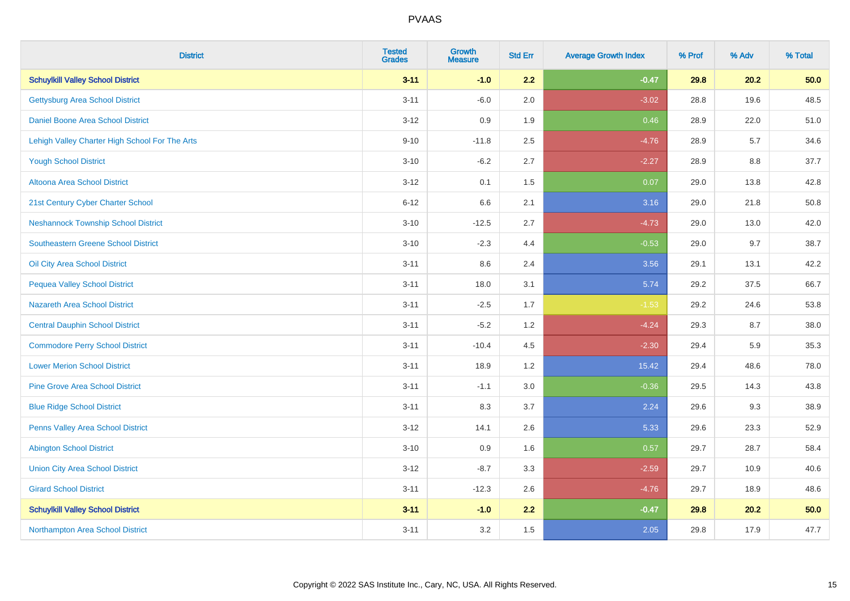| <b>District</b>                                | <b>Tested</b><br><b>Grades</b> | <b>Growth</b><br><b>Measure</b> | <b>Std Err</b> | <b>Average Growth Index</b> | % Prof | % Adv | % Total |
|------------------------------------------------|--------------------------------|---------------------------------|----------------|-----------------------------|--------|-------|---------|
| <b>Schuylkill Valley School District</b>       | $3 - 11$                       | $-1.0$                          | 2.2            | $-0.47$                     | 29.8   | 20.2  | 50.0    |
| <b>Gettysburg Area School District</b>         | $3 - 11$                       | $-6.0$                          | 2.0            | $-3.02$                     | 28.8   | 19.6  | 48.5    |
| Daniel Boone Area School District              | $3 - 12$                       | 0.9                             | 1.9            | 0.46                        | 28.9   | 22.0  | 51.0    |
| Lehigh Valley Charter High School For The Arts | $9 - 10$                       | $-11.8$                         | 2.5            | $-4.76$                     | 28.9   | 5.7   | 34.6    |
| <b>Yough School District</b>                   | $3 - 10$                       | $-6.2$                          | 2.7            | $-2.27$                     | 28.9   | 8.8   | 37.7    |
| Altoona Area School District                   | $3 - 12$                       | 0.1                             | 1.5            | 0.07                        | 29.0   | 13.8  | 42.8    |
| 21st Century Cyber Charter School              | $6 - 12$                       | 6.6                             | 2.1            | 3.16                        | 29.0   | 21.8  | 50.8    |
| <b>Neshannock Township School District</b>     | $3 - 10$                       | $-12.5$                         | 2.7            | $-4.73$                     | 29.0   | 13.0  | 42.0    |
| Southeastern Greene School District            | $3 - 10$                       | $-2.3$                          | 4.4            | $-0.53$                     | 29.0   | 9.7   | 38.7    |
| Oil City Area School District                  | $3 - 11$                       | 8.6                             | 2.4            | 3.56                        | 29.1   | 13.1  | 42.2    |
| <b>Pequea Valley School District</b>           | $3 - 11$                       | 18.0                            | 3.1            | 5.74                        | 29.2   | 37.5  | 66.7    |
| <b>Nazareth Area School District</b>           | $3 - 11$                       | $-2.5$                          | 1.7            | $-1.53$                     | 29.2   | 24.6  | 53.8    |
| <b>Central Dauphin School District</b>         | $3 - 11$                       | $-5.2$                          | 1.2            | $-4.24$                     | 29.3   | 8.7   | 38.0    |
| <b>Commodore Perry School District</b>         | $3 - 11$                       | $-10.4$                         | 4.5            | $-2.30$                     | 29.4   | 5.9   | 35.3    |
| <b>Lower Merion School District</b>            | $3 - 11$                       | 18.9                            | 1.2            | 15.42                       | 29.4   | 48.6  | 78.0    |
| <b>Pine Grove Area School District</b>         | $3 - 11$                       | $-1.1$                          | 3.0            | $-0.36$                     | 29.5   | 14.3  | 43.8    |
| <b>Blue Ridge School District</b>              | $3 - 11$                       | 8.3                             | 3.7            | 2.24                        | 29.6   | 9.3   | 38.9    |
| Penns Valley Area School District              | $3 - 12$                       | 14.1                            | 2.6            | 5.33                        | 29.6   | 23.3  | 52.9    |
| <b>Abington School District</b>                | $3 - 10$                       | 0.9                             | 1.6            | 0.57                        | 29.7   | 28.7  | 58.4    |
| <b>Union City Area School District</b>         | $3 - 12$                       | $-8.7$                          | 3.3            | $-2.59$                     | 29.7   | 10.9  | 40.6    |
| <b>Girard School District</b>                  | $3 - 11$                       | $-12.3$                         | 2.6            | $-4.76$                     | 29.7   | 18.9  | 48.6    |
| <b>Schuylkill Valley School District</b>       | $3 - 11$                       | $-1.0$                          | 2.2            | $-0.47$                     | 29.8   | 20.2  | 50.0    |
| Northampton Area School District               | $3 - 11$                       | 3.2                             | 1.5            | 2.05                        | 29.8   | 17.9  | 47.7    |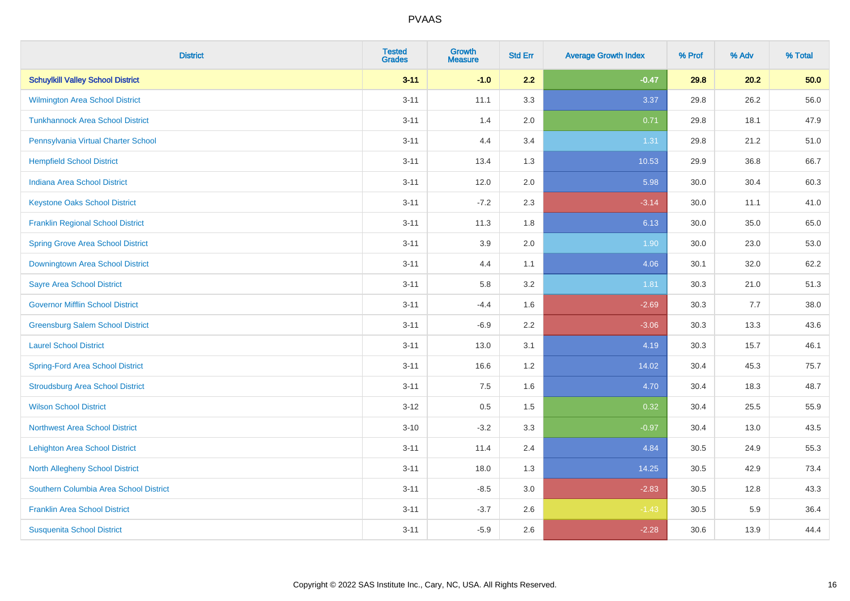| <b>District</b>                          | <b>Tested</b><br><b>Grades</b> | <b>Growth</b><br><b>Measure</b> | <b>Std Err</b> | <b>Average Growth Index</b> | % Prof | % Adv | % Total |
|------------------------------------------|--------------------------------|---------------------------------|----------------|-----------------------------|--------|-------|---------|
| <b>Schuylkill Valley School District</b> | $3 - 11$                       | $-1.0$                          | 2.2            | $-0.47$                     | 29.8   | 20.2  | 50.0    |
| Wilmington Area School District          | $3 - 11$                       | 11.1                            | 3.3            | 3.37                        | 29.8   | 26.2  | 56.0    |
| <b>Tunkhannock Area School District</b>  | $3 - 11$                       | 1.4                             | 2.0            | 0.71                        | 29.8   | 18.1  | 47.9    |
| Pennsylvania Virtual Charter School      | $3 - 11$                       | 4.4                             | 3.4            | 1.31                        | 29.8   | 21.2  | 51.0    |
| <b>Hempfield School District</b>         | $3 - 11$                       | 13.4                            | 1.3            | 10.53                       | 29.9   | 36.8  | 66.7    |
| <b>Indiana Area School District</b>      | $3 - 11$                       | 12.0                            | 2.0            | 5.98                        | 30.0   | 30.4  | 60.3    |
| <b>Keystone Oaks School District</b>     | $3 - 11$                       | $-7.2$                          | 2.3            | $-3.14$                     | 30.0   | 11.1  | 41.0    |
| <b>Franklin Regional School District</b> | $3 - 11$                       | 11.3                            | 1.8            | 6.13                        | 30.0   | 35.0  | 65.0    |
| <b>Spring Grove Area School District</b> | $3 - 11$                       | 3.9                             | 2.0            | 1.90                        | 30.0   | 23.0  | 53.0    |
| <b>Downingtown Area School District</b>  | $3 - 11$                       | 4.4                             | 1.1            | 4.06                        | 30.1   | 32.0  | 62.2    |
| <b>Sayre Area School District</b>        | $3 - 11$                       | 5.8                             | 3.2            | 1.81                        | 30.3   | 21.0  | 51.3    |
| <b>Governor Mifflin School District</b>  | $3 - 11$                       | $-4.4$                          | 1.6            | $-2.69$                     | 30.3   | 7.7   | 38.0    |
| <b>Greensburg Salem School District</b>  | $3 - 11$                       | $-6.9$                          | 2.2            | $-3.06$                     | 30.3   | 13.3  | 43.6    |
| <b>Laurel School District</b>            | $3 - 11$                       | 13.0                            | 3.1            | 4.19                        | 30.3   | 15.7  | 46.1    |
| <b>Spring-Ford Area School District</b>  | $3 - 11$                       | 16.6                            | 1.2            | 14.02                       | 30.4   | 45.3  | 75.7    |
| <b>Stroudsburg Area School District</b>  | $3 - 11$                       | 7.5                             | 1.6            | 4.70                        | 30.4   | 18.3  | 48.7    |
| <b>Wilson School District</b>            | $3 - 12$                       | 0.5                             | 1.5            | 0.32                        | 30.4   | 25.5  | 55.9    |
| <b>Northwest Area School District</b>    | $3 - 10$                       | $-3.2$                          | 3.3            | $-0.97$                     | 30.4   | 13.0  | 43.5    |
| <b>Lehighton Area School District</b>    | $3 - 11$                       | 11.4                            | 2.4            | 4.84                        | 30.5   | 24.9  | 55.3    |
| <b>North Allegheny School District</b>   | $3 - 11$                       | 18.0                            | 1.3            | 14.25                       | 30.5   | 42.9  | 73.4    |
| Southern Columbia Area School District   | $3 - 11$                       | $-8.5$                          | 3.0            | $-2.83$                     | 30.5   | 12.8  | 43.3    |
| <b>Franklin Area School District</b>     | $3 - 11$                       | $-3.7$                          | 2.6            | $-1.43$                     | 30.5   | 5.9   | 36.4    |
| <b>Susquenita School District</b>        | $3 - 11$                       | $-5.9$                          | 2.6            | $-2.28$                     | 30.6   | 13.9  | 44.4    |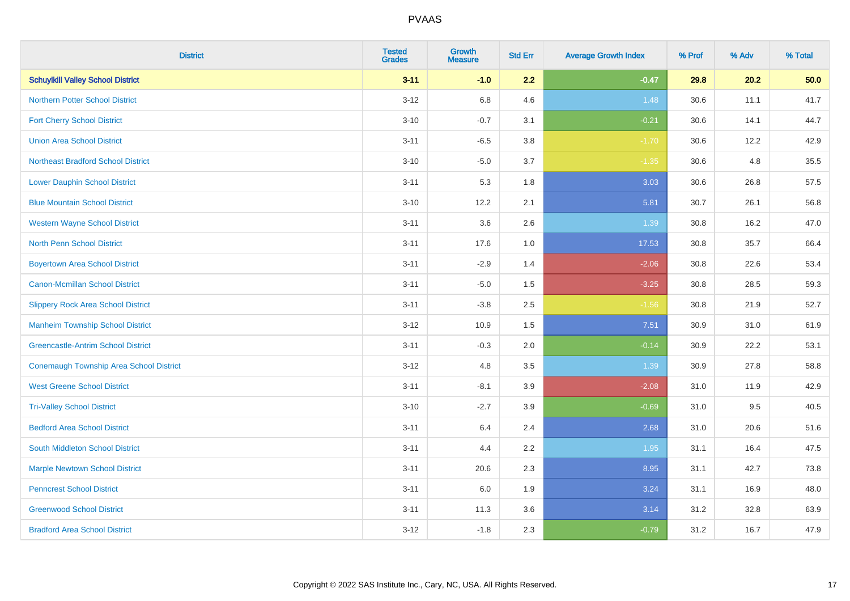| <b>District</b>                                | <b>Tested</b><br><b>Grades</b> | <b>Growth</b><br><b>Measure</b> | <b>Std Err</b> | <b>Average Growth Index</b> | % Prof | % Adv | % Total |
|------------------------------------------------|--------------------------------|---------------------------------|----------------|-----------------------------|--------|-------|---------|
| <b>Schuylkill Valley School District</b>       | $3 - 11$                       | $-1.0$                          | 2.2            | $-0.47$                     | 29.8   | 20.2  | 50.0    |
| <b>Northern Potter School District</b>         | $3 - 12$                       | 6.8                             | 4.6            | 1.48                        | 30.6   | 11.1  | 41.7    |
| <b>Fort Cherry School District</b>             | $3 - 10$                       | $-0.7$                          | 3.1            | $-0.21$                     | 30.6   | 14.1  | 44.7    |
| <b>Union Area School District</b>              | $3 - 11$                       | $-6.5$                          | 3.8            | $-1.70$                     | 30.6   | 12.2  | 42.9    |
| <b>Northeast Bradford School District</b>      | $3 - 10$                       | $-5.0$                          | 3.7            | $-1.35$                     | 30.6   | 4.8   | 35.5    |
| <b>Lower Dauphin School District</b>           | $3 - 11$                       | 5.3                             | 1.8            | 3.03                        | 30.6   | 26.8  | 57.5    |
| <b>Blue Mountain School District</b>           | $3 - 10$                       | 12.2                            | 2.1            | 5.81                        | 30.7   | 26.1  | 56.8    |
| <b>Western Wayne School District</b>           | $3 - 11$                       | 3.6                             | 2.6            | 1.39                        | 30.8   | 16.2  | 47.0    |
| North Penn School District                     | $3 - 11$                       | 17.6                            | 1.0            | 17.53                       | 30.8   | 35.7  | 66.4    |
| <b>Boyertown Area School District</b>          | $3 - 11$                       | $-2.9$                          | 1.4            | $-2.06$                     | 30.8   | 22.6  | 53.4    |
| Canon-Mcmillan School District                 | $3 - 11$                       | $-5.0$                          | 1.5            | $-3.25$                     | 30.8   | 28.5  | 59.3    |
| <b>Slippery Rock Area School District</b>      | $3 - 11$                       | $-3.8$                          | 2.5            | $-1.56$                     | 30.8   | 21.9  | 52.7    |
| <b>Manheim Township School District</b>        | $3 - 12$                       | 10.9                            | 1.5            | 7.51                        | 30.9   | 31.0  | 61.9    |
| <b>Greencastle-Antrim School District</b>      | $3 - 11$                       | $-0.3$                          | 2.0            | $-0.14$                     | 30.9   | 22.2  | 53.1    |
| <b>Conemaugh Township Area School District</b> | $3 - 12$                       | 4.8                             | 3.5            | 1.39                        | 30.9   | 27.8  | 58.8    |
| <b>West Greene School District</b>             | $3 - 11$                       | $-8.1$                          | 3.9            | $-2.08$                     | 31.0   | 11.9  | 42.9    |
| <b>Tri-Valley School District</b>              | $3 - 10$                       | $-2.7$                          | 3.9            | $-0.69$                     | 31.0   | 9.5   | 40.5    |
| <b>Bedford Area School District</b>            | $3 - 11$                       | 6.4                             | 2.4            | 2.68                        | 31.0   | 20.6  | 51.6    |
| South Middleton School District                | $3 - 11$                       | 4.4                             | 2.2            | 1.95                        | 31.1   | 16.4  | 47.5    |
| <b>Marple Newtown School District</b>          | $3 - 11$                       | 20.6                            | 2.3            | 8.95                        | 31.1   | 42.7  | 73.8    |
| <b>Penncrest School District</b>               | $3 - 11$                       | 6.0                             | 1.9            | 3.24                        | 31.1   | 16.9  | 48.0    |
| <b>Greenwood School District</b>               | $3 - 11$                       | 11.3                            | 3.6            | 3.14                        | 31.2   | 32.8  | 63.9    |
| <b>Bradford Area School District</b>           | $3 - 12$                       | $-1.8$                          | 2.3            | $-0.79$                     | 31.2   | 16.7  | 47.9    |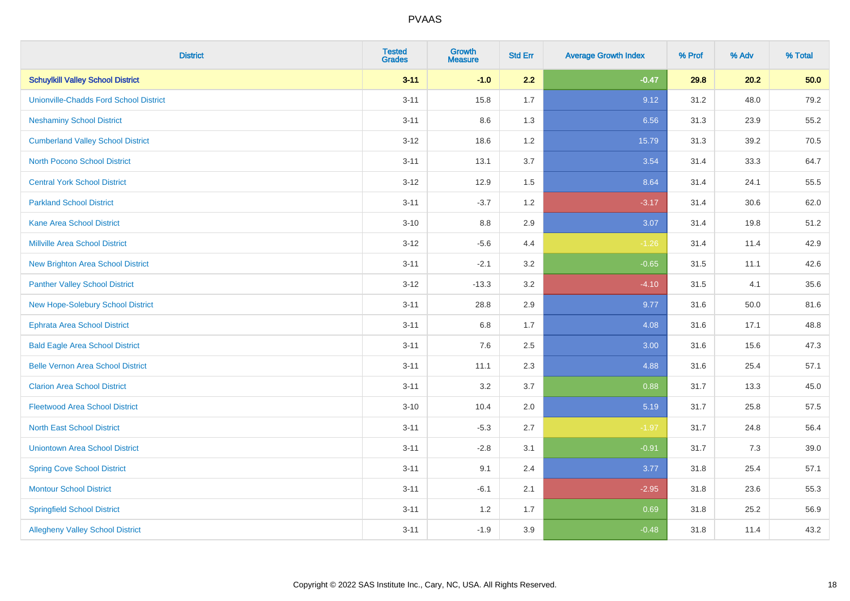| <b>District</b>                               | <b>Tested</b><br><b>Grades</b> | <b>Growth</b><br><b>Measure</b> | <b>Std Err</b> | <b>Average Growth Index</b> | % Prof | % Adv | % Total |
|-----------------------------------------------|--------------------------------|---------------------------------|----------------|-----------------------------|--------|-------|---------|
| <b>Schuylkill Valley School District</b>      | $3 - 11$                       | $-1.0$                          | 2.2            | $-0.47$                     | 29.8   | 20.2  | 50.0    |
| <b>Unionville-Chadds Ford School District</b> | $3 - 11$                       | 15.8                            | 1.7            | 9.12                        | 31.2   | 48.0  | 79.2    |
| <b>Neshaminy School District</b>              | $3 - 11$                       | 8.6                             | 1.3            | 6.56                        | 31.3   | 23.9  | 55.2    |
| <b>Cumberland Valley School District</b>      | $3 - 12$                       | 18.6                            | 1.2            | 15.79                       | 31.3   | 39.2  | 70.5    |
| <b>North Pocono School District</b>           | $3 - 11$                       | 13.1                            | 3.7            | 3.54                        | 31.4   | 33.3  | 64.7    |
| <b>Central York School District</b>           | $3 - 12$                       | 12.9                            | 1.5            | 8.64                        | 31.4   | 24.1  | 55.5    |
| <b>Parkland School District</b>               | $3 - 11$                       | $-3.7$                          | 1.2            | $-3.17$                     | 31.4   | 30.6  | 62.0    |
| <b>Kane Area School District</b>              | $3 - 10$                       | 8.8                             | 2.9            | 3.07                        | 31.4   | 19.8  | 51.2    |
| <b>Millville Area School District</b>         | $3-12$                         | $-5.6$                          | 4.4            | $-1.26$                     | 31.4   | 11.4  | 42.9    |
| <b>New Brighton Area School District</b>      | $3 - 11$                       | $-2.1$                          | 3.2            | $-0.65$                     | 31.5   | 11.1  | 42.6    |
| <b>Panther Valley School District</b>         | $3 - 12$                       | $-13.3$                         | 3.2            | $-4.10$                     | 31.5   | 4.1   | 35.6    |
| <b>New Hope-Solebury School District</b>      | $3 - 11$                       | 28.8                            | 2.9            | 9.77                        | 31.6   | 50.0  | 81.6    |
| <b>Ephrata Area School District</b>           | $3 - 11$                       | 6.8                             | 1.7            | 4.08                        | 31.6   | 17.1  | 48.8    |
| <b>Bald Eagle Area School District</b>        | $3 - 11$                       | 7.6                             | 2.5            | 3.00                        | 31.6   | 15.6  | 47.3    |
| <b>Belle Vernon Area School District</b>      | $3 - 11$                       | 11.1                            | 2.3            | 4.88                        | 31.6   | 25.4  | 57.1    |
| <b>Clarion Area School District</b>           | $3 - 11$                       | 3.2                             | 3.7            | 0.88                        | 31.7   | 13.3  | 45.0    |
| <b>Fleetwood Area School District</b>         | $3 - 10$                       | 10.4                            | 2.0            | 5.19                        | 31.7   | 25.8  | 57.5    |
| <b>North East School District</b>             | $3 - 11$                       | $-5.3$                          | 2.7            | $-1.97$                     | 31.7   | 24.8  | 56.4    |
| <b>Uniontown Area School District</b>         | $3 - 11$                       | $-2.8$                          | 3.1            | $-0.91$                     | 31.7   | $7.3$ | 39.0    |
| <b>Spring Cove School District</b>            | $3 - 11$                       | 9.1                             | 2.4            | 3.77                        | 31.8   | 25.4  | 57.1    |
| <b>Montour School District</b>                | $3 - 11$                       | $-6.1$                          | 2.1            | $-2.95$                     | 31.8   | 23.6  | 55.3    |
| <b>Springfield School District</b>            | $3 - 11$                       | 1.2                             | 1.7            | 0.69                        | 31.8   | 25.2  | 56.9    |
| <b>Allegheny Valley School District</b>       | $3 - 11$                       | $-1.9$                          | 3.9            | $-0.48$                     | 31.8   | 11.4  | 43.2    |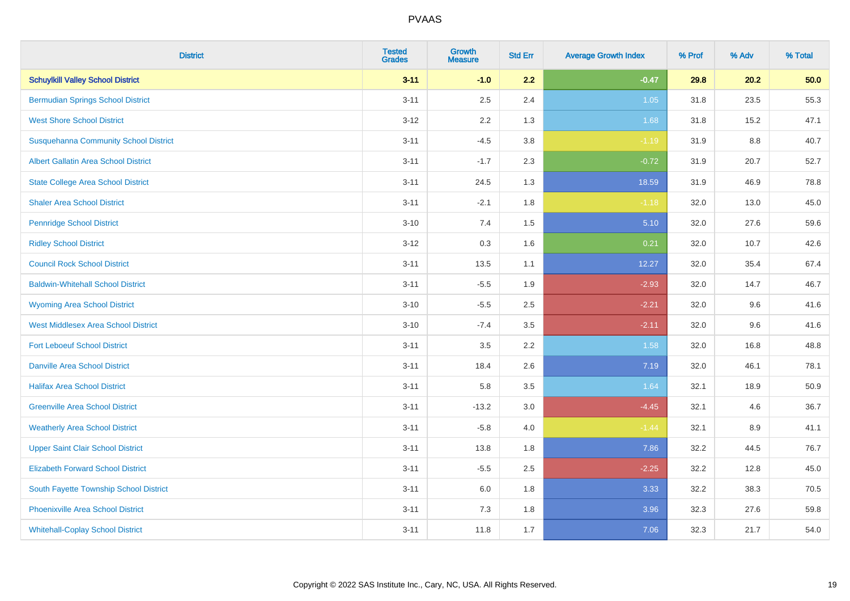| <b>District</b>                              | <b>Tested</b><br><b>Grades</b> | Growth<br><b>Measure</b> | <b>Std Err</b> | <b>Average Growth Index</b> | % Prof | % Adv   | % Total |
|----------------------------------------------|--------------------------------|--------------------------|----------------|-----------------------------|--------|---------|---------|
| <b>Schuylkill Valley School District</b>     | $3 - 11$                       | $-1.0$                   | 2.2            | $-0.47$                     | 29.8   | 20.2    | 50.0    |
| <b>Bermudian Springs School District</b>     | $3 - 11$                       | 2.5                      | 2.4            | 1.05                        | 31.8   | 23.5    | 55.3    |
| <b>West Shore School District</b>            | $3-12$                         | 2.2                      | 1.3            | 1.68                        | 31.8   | 15.2    | 47.1    |
| <b>Susquehanna Community School District</b> | $3 - 11$                       | $-4.5$                   | 3.8            | $-1.19$                     | 31.9   | $8.8\,$ | 40.7    |
| <b>Albert Gallatin Area School District</b>  | $3 - 11$                       | $-1.7$                   | 2.3            | $-0.72$                     | 31.9   | 20.7    | 52.7    |
| <b>State College Area School District</b>    | $3 - 11$                       | 24.5                     | 1.3            | 18.59                       | 31.9   | 46.9    | 78.8    |
| <b>Shaler Area School District</b>           | $3 - 11$                       | $-2.1$                   | 1.8            | $-1.18$                     | 32.0   | 13.0    | 45.0    |
| <b>Pennridge School District</b>             | $3 - 10$                       | 7.4                      | 1.5            | 5.10                        | 32.0   | 27.6    | 59.6    |
| <b>Ridley School District</b>                | $3 - 12$                       | 0.3                      | 1.6            | 0.21                        | 32.0   | 10.7    | 42.6    |
| <b>Council Rock School District</b>          | $3 - 11$                       | 13.5                     | 1.1            | 12.27                       | 32.0   | 35.4    | 67.4    |
| <b>Baldwin-Whitehall School District</b>     | $3 - 11$                       | $-5.5$                   | 1.9            | $-2.93$                     | 32.0   | 14.7    | 46.7    |
| <b>Wyoming Area School District</b>          | $3 - 10$                       | $-5.5$                   | 2.5            | $-2.21$                     | 32.0   | 9.6     | 41.6    |
| <b>West Middlesex Area School District</b>   | $3 - 10$                       | $-7.4$                   | 3.5            | $-2.11$                     | 32.0   | 9.6     | 41.6    |
| <b>Fort Leboeuf School District</b>          | $3 - 11$                       | 3.5                      | 2.2            | 1.58                        | 32.0   | 16.8    | 48.8    |
| <b>Danville Area School District</b>         | $3 - 11$                       | 18.4                     | 2.6            | 7.19                        | 32.0   | 46.1    | 78.1    |
| <b>Halifax Area School District</b>          | $3 - 11$                       | 5.8                      | 3.5            | 1.64                        | 32.1   | 18.9    | 50.9    |
| <b>Greenville Area School District</b>       | $3 - 11$                       | $-13.2$                  | 3.0            | $-4.45$                     | 32.1   | 4.6     | 36.7    |
| <b>Weatherly Area School District</b>        | $3 - 11$                       | $-5.8$                   | 4.0            | $-1.44$                     | 32.1   | 8.9     | 41.1    |
| <b>Upper Saint Clair School District</b>     | $3 - 11$                       | 13.8                     | 1.8            | 7.86                        | 32.2   | 44.5    | 76.7    |
| <b>Elizabeth Forward School District</b>     | $3 - 11$                       | $-5.5$                   | 2.5            | $-2.25$                     | 32.2   | 12.8    | 45.0    |
| South Fayette Township School District       | $3 - 11$                       | 6.0                      | 1.8            | 3.33                        | 32.2   | 38.3    | 70.5    |
| <b>Phoenixville Area School District</b>     | $3 - 11$                       | 7.3                      | 1.8            | 3.96                        | 32.3   | 27.6    | 59.8    |
| <b>Whitehall-Coplay School District</b>      | $3 - 11$                       | 11.8                     | 1.7            | 7.06                        | 32.3   | 21.7    | 54.0    |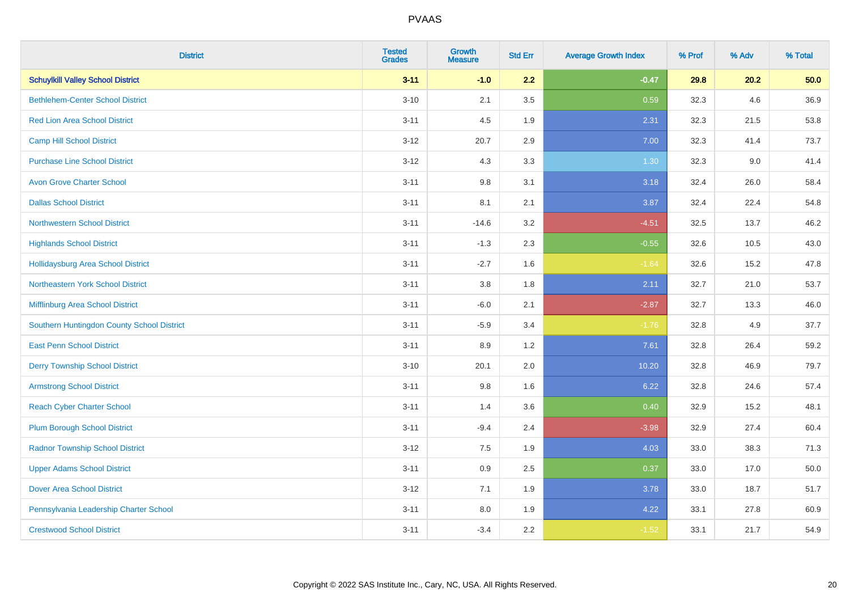| <b>District</b>                            | <b>Tested</b><br><b>Grades</b> | <b>Growth</b><br><b>Measure</b> | <b>Std Err</b> | <b>Average Growth Index</b> | % Prof | % Adv | % Total |
|--------------------------------------------|--------------------------------|---------------------------------|----------------|-----------------------------|--------|-------|---------|
| <b>Schuylkill Valley School District</b>   | $3 - 11$                       | $-1.0$                          | 2.2            | $-0.47$                     | 29.8   | 20.2  | 50.0    |
| <b>Bethlehem-Center School District</b>    | $3 - 10$                       | 2.1                             | 3.5            | 0.59                        | 32.3   | 4.6   | 36.9    |
| <b>Red Lion Area School District</b>       | $3 - 11$                       | 4.5                             | 1.9            | 2.31                        | 32.3   | 21.5  | 53.8    |
| <b>Camp Hill School District</b>           | $3 - 12$                       | 20.7                            | 2.9            | 7.00                        | 32.3   | 41.4  | 73.7    |
| <b>Purchase Line School District</b>       | $3-12$                         | 4.3                             | 3.3            | 1.30                        | 32.3   | 9.0   | 41.4    |
| <b>Avon Grove Charter School</b>           | $3 - 11$                       | 9.8                             | 3.1            | 3.18                        | 32.4   | 26.0  | 58.4    |
| <b>Dallas School District</b>              | $3 - 11$                       | 8.1                             | 2.1            | 3.87                        | 32.4   | 22.4  | 54.8    |
| <b>Northwestern School District</b>        | $3 - 11$                       | $-14.6$                         | 3.2            | $-4.51$                     | 32.5   | 13.7  | 46.2    |
| <b>Highlands School District</b>           | $3 - 11$                       | $-1.3$                          | 2.3            | $-0.55$                     | 32.6   | 10.5  | 43.0    |
| <b>Hollidaysburg Area School District</b>  | $3 - 11$                       | $-2.7$                          | 1.6            | $-1.64$                     | 32.6   | 15.2  | 47.8    |
| Northeastern York School District          | $3 - 11$                       | 3.8                             | 1.8            | 2.11                        | 32.7   | 21.0  | 53.7    |
| Mifflinburg Area School District           | $3 - 11$                       | $-6.0$                          | 2.1            | $-2.87$                     | 32.7   | 13.3  | 46.0    |
| Southern Huntingdon County School District | $3 - 11$                       | $-5.9$                          | 3.4            | $-1.76$                     | 32.8   | 4.9   | 37.7    |
| <b>East Penn School District</b>           | $3 - 11$                       | 8.9                             | 1.2            | 7.61                        | 32.8   | 26.4  | 59.2    |
| <b>Derry Township School District</b>      | $3 - 10$                       | 20.1                            | 2.0            | 10.20                       | 32.8   | 46.9  | 79.7    |
| <b>Armstrong School District</b>           | $3 - 11$                       | 9.8                             | 1.6            | 6.22                        | 32.8   | 24.6  | 57.4    |
| <b>Reach Cyber Charter School</b>          | $3 - 11$                       | 1.4                             | 3.6            | 0.40                        | 32.9   | 15.2  | 48.1    |
| <b>Plum Borough School District</b>        | $3 - 11$                       | $-9.4$                          | 2.4            | $-3.98$                     | 32.9   | 27.4  | 60.4    |
| <b>Radnor Township School District</b>     | $3 - 12$                       | 7.5                             | 1.9            | 4.03                        | 33.0   | 38.3  | 71.3    |
| <b>Upper Adams School District</b>         | $3 - 11$                       | 0.9                             | 2.5            | 0.37                        | 33.0   | 17.0  | 50.0    |
| <b>Dover Area School District</b>          | $3 - 12$                       | 7.1                             | 1.9            | 3.78                        | 33.0   | 18.7  | 51.7    |
| Pennsylvania Leadership Charter School     | $3 - 11$                       | $8.0\,$                         | 1.9            | 4.22                        | 33.1   | 27.8  | 60.9    |
| <b>Crestwood School District</b>           | $3 - 11$                       | $-3.4$                          | 2.2            | $-1.52$                     | 33.1   | 21.7  | 54.9    |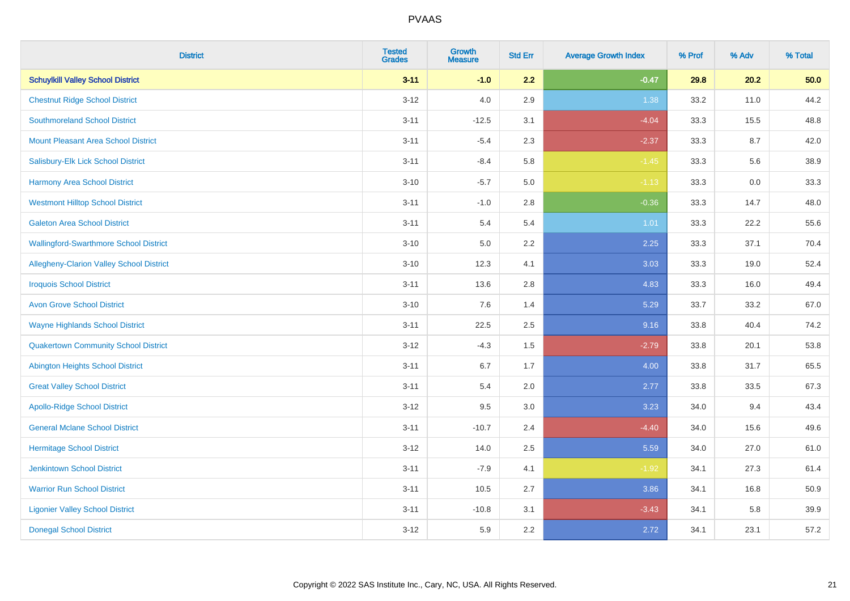| <b>District</b>                               | <b>Tested</b><br><b>Grades</b> | <b>Growth</b><br><b>Measure</b> | <b>Std Err</b> | <b>Average Growth Index</b> | % Prof | % Adv | % Total |
|-----------------------------------------------|--------------------------------|---------------------------------|----------------|-----------------------------|--------|-------|---------|
| <b>Schuylkill Valley School District</b>      | $3 - 11$                       | $-1.0$                          | 2.2            | $-0.47$                     | 29.8   | 20.2  | 50.0    |
| <b>Chestnut Ridge School District</b>         | $3 - 12$                       | 4.0                             | 2.9            | 1.38                        | 33.2   | 11.0  | 44.2    |
| <b>Southmoreland School District</b>          | $3 - 11$                       | $-12.5$                         | 3.1            | $-4.04$                     | 33.3   | 15.5  | 48.8    |
| <b>Mount Pleasant Area School District</b>    | $3 - 11$                       | $-5.4$                          | 2.3            | $-2.37$                     | 33.3   | 8.7   | 42.0    |
| Salisbury-Elk Lick School District            | $3 - 11$                       | $-8.4$                          | 5.8            | $-1.45$                     | 33.3   | 5.6   | 38.9    |
| <b>Harmony Area School District</b>           | $3 - 10$                       | $-5.7$                          | 5.0            | $-1.13$                     | 33.3   | 0.0   | 33.3    |
| <b>Westmont Hilltop School District</b>       | $3 - 11$                       | $-1.0$                          | 2.8            | $-0.36$                     | 33.3   | 14.7  | 48.0    |
| <b>Galeton Area School District</b>           | $3 - 11$                       | 5.4                             | 5.4            | 1.01                        | 33.3   | 22.2  | 55.6    |
| <b>Wallingford-Swarthmore School District</b> | $3 - 10$                       | 5.0                             | 2.2            | 2.25                        | 33.3   | 37.1  | 70.4    |
| Allegheny-Clarion Valley School District      | $3 - 10$                       | 12.3                            | 4.1            | 3.03                        | 33.3   | 19.0  | 52.4    |
| <b>Iroquois School District</b>               | $3 - 11$                       | 13.6                            | 2.8            | 4.83                        | 33.3   | 16.0  | 49.4    |
| <b>Avon Grove School District</b>             | $3 - 10$                       | 7.6                             | 1.4            | 5.29                        | 33.7   | 33.2  | 67.0    |
| <b>Wayne Highlands School District</b>        | $3 - 11$                       | 22.5                            | 2.5            | 9.16                        | 33.8   | 40.4  | 74.2    |
| <b>Quakertown Community School District</b>   | $3 - 12$                       | $-4.3$                          | 1.5            | $-2.79$                     | 33.8   | 20.1  | 53.8    |
| <b>Abington Heights School District</b>       | $3 - 11$                       | 6.7                             | 1.7            | 4.00                        | 33.8   | 31.7  | 65.5    |
| <b>Great Valley School District</b>           | $3 - 11$                       | 5.4                             | 2.0            | 2.77                        | 33.8   | 33.5  | 67.3    |
| <b>Apollo-Ridge School District</b>           | $3 - 12$                       | 9.5                             | 3.0            | 3.23                        | 34.0   | 9.4   | 43.4    |
| <b>General Mclane School District</b>         | $3 - 11$                       | $-10.7$                         | 2.4            | $-4.40$                     | 34.0   | 15.6  | 49.6    |
| <b>Hermitage School District</b>              | $3-12$                         | 14.0                            | 2.5            | 5.59                        | 34.0   | 27.0  | 61.0    |
| <b>Jenkintown School District</b>             | $3 - 11$                       | $-7.9$                          | 4.1            | $-1.92$                     | 34.1   | 27.3  | 61.4    |
| <b>Warrior Run School District</b>            | $3 - 11$                       | 10.5                            | 2.7            | 3.86                        | 34.1   | 16.8  | 50.9    |
| <b>Ligonier Valley School District</b>        | $3 - 11$                       | $-10.8$                         | 3.1            | $-3.43$                     | 34.1   | 5.8   | 39.9    |
| <b>Donegal School District</b>                | $3 - 12$                       | 5.9                             | 2.2            | 2.72                        | 34.1   | 23.1  | 57.2    |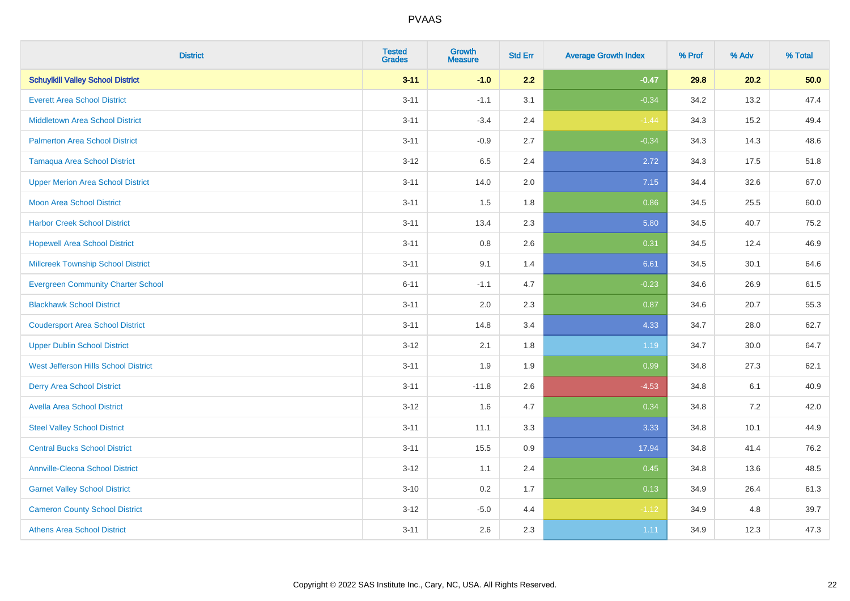| <b>District</b>                           | <b>Tested</b><br><b>Grades</b> | Growth<br><b>Measure</b> | <b>Std Err</b> | <b>Average Growth Index</b> | % Prof | % Adv | % Total |
|-------------------------------------------|--------------------------------|--------------------------|----------------|-----------------------------|--------|-------|---------|
| <b>Schuylkill Valley School District</b>  | $3 - 11$                       | $-1.0$                   | 2.2            | $-0.47$                     | 29.8   | 20.2  | 50.0    |
| <b>Everett Area School District</b>       | $3 - 11$                       | $-1.1$                   | 3.1            | $-0.34$                     | 34.2   | 13.2  | 47.4    |
| <b>Middletown Area School District</b>    | $3 - 11$                       | $-3.4$                   | 2.4            | $-1.44$                     | 34.3   | 15.2  | 49.4    |
| <b>Palmerton Area School District</b>     | $3 - 11$                       | $-0.9$                   | 2.7            | $-0.34$                     | 34.3   | 14.3  | 48.6    |
| <b>Tamaqua Area School District</b>       | $3 - 12$                       | 6.5                      | 2.4            | 2.72                        | 34.3   | 17.5  | 51.8    |
| <b>Upper Merion Area School District</b>  | $3 - 11$                       | 14.0                     | 2.0            | 7.15                        | 34.4   | 32.6  | 67.0    |
| <b>Moon Area School District</b>          | $3 - 11$                       | 1.5                      | 1.8            | 0.86                        | 34.5   | 25.5  | 60.0    |
| <b>Harbor Creek School District</b>       | $3 - 11$                       | 13.4                     | 2.3            | 5.80                        | 34.5   | 40.7  | 75.2    |
| <b>Hopewell Area School District</b>      | $3 - 11$                       | 0.8                      | 2.6            | 0.31                        | 34.5   | 12.4  | 46.9    |
| <b>Millcreek Township School District</b> | $3 - 11$                       | 9.1                      | 1.4            | 6.61                        | 34.5   | 30.1  | 64.6    |
| <b>Evergreen Community Charter School</b> | $6 - 11$                       | $-1.1$                   | 4.7            | $-0.23$                     | 34.6   | 26.9  | 61.5    |
| <b>Blackhawk School District</b>          | $3 - 11$                       | 2.0                      | 2.3            | 0.87                        | 34.6   | 20.7  | 55.3    |
| <b>Coudersport Area School District</b>   | $3 - 11$                       | 14.8                     | 3.4            | 4.33                        | 34.7   | 28.0  | 62.7    |
| <b>Upper Dublin School District</b>       | $3-12$                         | 2.1                      | 1.8            | 1.19                        | 34.7   | 30.0  | 64.7    |
| West Jefferson Hills School District      | $3 - 11$                       | 1.9                      | 1.9            | 0.99                        | 34.8   | 27.3  | 62.1    |
| <b>Derry Area School District</b>         | $3 - 11$                       | $-11.8$                  | 2.6            | $-4.53$                     | 34.8   | 6.1   | 40.9    |
| <b>Avella Area School District</b>        | $3-12$                         | 1.6                      | 4.7            | 0.34                        | 34.8   | 7.2   | 42.0    |
| <b>Steel Valley School District</b>       | $3 - 11$                       | 11.1                     | 3.3            | 3.33                        | 34.8   | 10.1  | 44.9    |
| <b>Central Bucks School District</b>      | $3 - 11$                       | 15.5                     | 0.9            | 17.94                       | 34.8   | 41.4  | 76.2    |
| <b>Annville-Cleona School District</b>    | $3 - 12$                       | 1.1                      | 2.4            | 0.45                        | 34.8   | 13.6  | 48.5    |
| <b>Garnet Valley School District</b>      | $3 - 10$                       | 0.2                      | 1.7            | 0.13                        | 34.9   | 26.4  | 61.3    |
| <b>Cameron County School District</b>     | $3 - 12$                       | $-5.0$                   | 4.4            | $-1.12$                     | 34.9   | 4.8   | 39.7    |
| <b>Athens Area School District</b>        | $3 - 11$                       | 2.6                      | 2.3            | 1.11                        | 34.9   | 12.3  | 47.3    |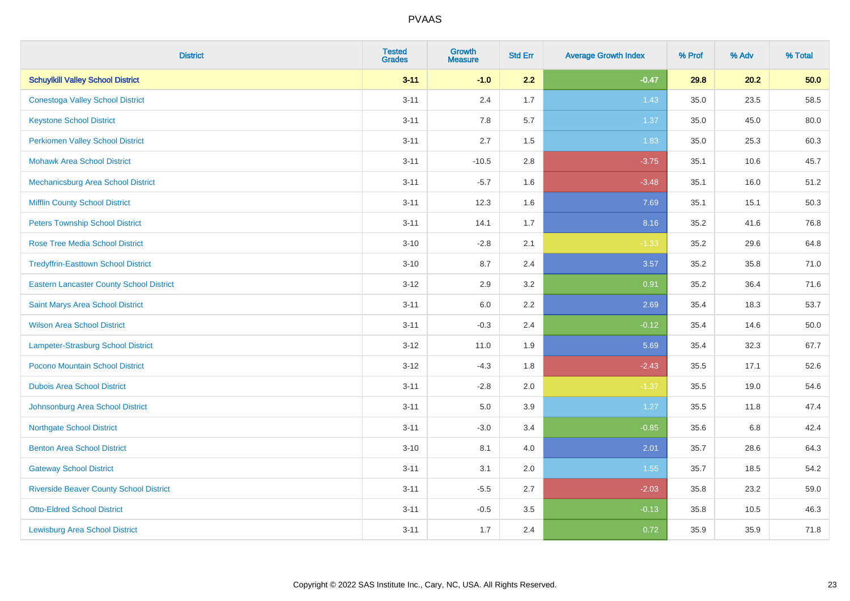| <b>District</b>                                 | <b>Tested</b><br><b>Grades</b> | <b>Growth</b><br><b>Measure</b> | <b>Std Err</b> | <b>Average Growth Index</b> | % Prof | % Adv | % Total  |
|-------------------------------------------------|--------------------------------|---------------------------------|----------------|-----------------------------|--------|-------|----------|
| <b>Schuylkill Valley School District</b>        | $3 - 11$                       | $-1.0$                          | 2.2            | $-0.47$                     | 29.8   | 20.2  | 50.0     |
| <b>Conestoga Valley School District</b>         | $3 - 11$                       | 2.4                             | 1.7            | 1.43                        | 35.0   | 23.5  | 58.5     |
| <b>Keystone School District</b>                 | $3 - 11$                       | 7.8                             | 5.7            | 1.37                        | 35.0   | 45.0  | 80.0     |
| <b>Perkiomen Valley School District</b>         | $3 - 11$                       | 2.7                             | 1.5            | 1.83                        | 35.0   | 25.3  | 60.3     |
| <b>Mohawk Area School District</b>              | $3 - 11$                       | $-10.5$                         | 2.8            | $-3.75$                     | 35.1   | 10.6  | 45.7     |
| Mechanicsburg Area School District              | $3 - 11$                       | $-5.7$                          | 1.6            | $-3.48$                     | 35.1   | 16.0  | 51.2     |
| <b>Mifflin County School District</b>           | $3 - 11$                       | 12.3                            | 1.6            | 7.69                        | 35.1   | 15.1  | 50.3     |
| <b>Peters Township School District</b>          | $3 - 11$                       | 14.1                            | 1.7            | 8.16                        | 35.2   | 41.6  | 76.8     |
| <b>Rose Tree Media School District</b>          | $3 - 10$                       | $-2.8$                          | 2.1            | $-1.33$                     | 35.2   | 29.6  | 64.8     |
| <b>Tredyffrin-Easttown School District</b>      | $3 - 10$                       | 8.7                             | 2.4            | 3.57                        | 35.2   | 35.8  | 71.0     |
| <b>Eastern Lancaster County School District</b> | $3 - 12$                       | 2.9                             | 3.2            | 0.91                        | 35.2   | 36.4  | 71.6     |
| Saint Marys Area School District                | $3 - 11$                       | 6.0                             | 2.2            | 2.69                        | 35.4   | 18.3  | 53.7     |
| <b>Wilson Area School District</b>              | $3 - 11$                       | $-0.3$                          | 2.4            | $-0.12$                     | 35.4   | 14.6  | $50.0\,$ |
| Lampeter-Strasburg School District              | $3 - 12$                       | 11.0                            | 1.9            | 5.69                        | 35.4   | 32.3  | 67.7     |
| Pocono Mountain School District                 | $3 - 12$                       | $-4.3$                          | 1.8            | $-2.43$                     | 35.5   | 17.1  | 52.6     |
| <b>Dubois Area School District</b>              | $3 - 11$                       | $-2.8$                          | 2.0            | $-1.37$                     | 35.5   | 19.0  | 54.6     |
| Johnsonburg Area School District                | $3 - 11$                       | 5.0                             | 3.9            | 1.27                        | 35.5   | 11.8  | 47.4     |
| <b>Northgate School District</b>                | $3 - 11$                       | $-3.0$                          | 3.4            | $-0.85$                     | 35.6   | 6.8   | 42.4     |
| <b>Benton Area School District</b>              | $3 - 10$                       | 8.1                             | 4.0            | 2.01                        | 35.7   | 28.6  | 64.3     |
| <b>Gateway School District</b>                  | $3 - 11$                       | 3.1                             | 2.0            | 1.55                        | 35.7   | 18.5  | 54.2     |
| <b>Riverside Beaver County School District</b>  | $3 - 11$                       | $-5.5$                          | 2.7            | $-2.03$                     | 35.8   | 23.2  | 59.0     |
| <b>Otto-Eldred School District</b>              | $3 - 11$                       | $-0.5$                          | 3.5            | $-0.13$                     | 35.8   | 10.5  | 46.3     |
| <b>Lewisburg Area School District</b>           | $3 - 11$                       | 1.7                             | 2.4            | 0.72                        | 35.9   | 35.9  | 71.8     |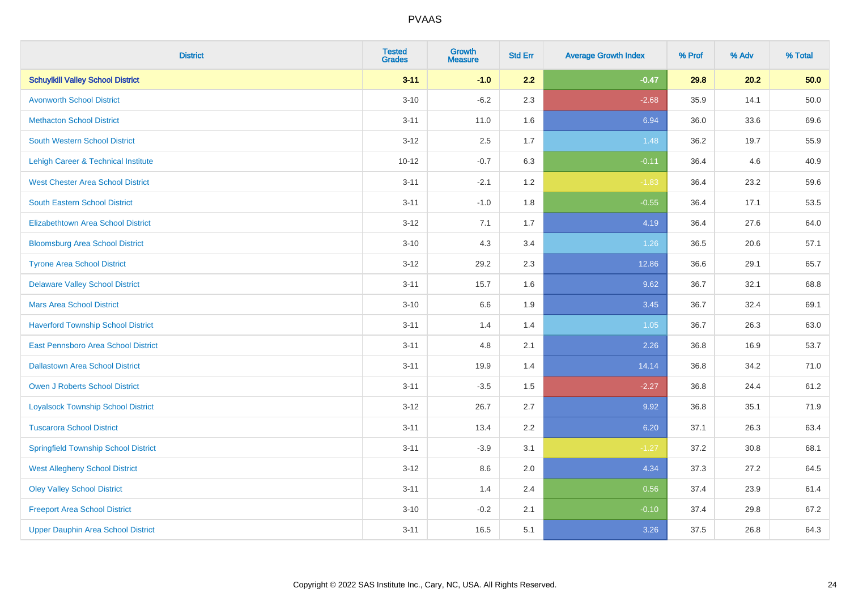| <b>District</b>                             | <b>Tested</b><br><b>Grades</b> | <b>Growth</b><br><b>Measure</b> | <b>Std Err</b> | <b>Average Growth Index</b> | % Prof | % Adv | % Total |
|---------------------------------------------|--------------------------------|---------------------------------|----------------|-----------------------------|--------|-------|---------|
| <b>Schuylkill Valley School District</b>    | $3 - 11$                       | $-1.0$                          | 2.2            | $-0.47$                     | 29.8   | 20.2  | 50.0    |
| <b>Avonworth School District</b>            | $3 - 10$                       | $-6.2$                          | 2.3            | $-2.68$                     | 35.9   | 14.1  | 50.0    |
| <b>Methacton School District</b>            | $3 - 11$                       | 11.0                            | 1.6            | 6.94                        | 36.0   | 33.6  | 69.6    |
| <b>South Western School District</b>        | $3 - 12$                       | 2.5                             | 1.7            | 1.48                        | 36.2   | 19.7  | 55.9    |
| Lehigh Career & Technical Institute         | $10 - 12$                      | $-0.7$                          | 6.3            | $-0.11$                     | 36.4   | 4.6   | 40.9    |
| <b>West Chester Area School District</b>    | $3 - 11$                       | $-2.1$                          | 1.2            | $-1.83$                     | 36.4   | 23.2  | 59.6    |
| <b>South Eastern School District</b>        | $3 - 11$                       | $-1.0$                          | 1.8            | $-0.55$                     | 36.4   | 17.1  | 53.5    |
| <b>Elizabethtown Area School District</b>   | $3 - 12$                       | 7.1                             | 1.7            | 4.19                        | 36.4   | 27.6  | 64.0    |
| <b>Bloomsburg Area School District</b>      | $3 - 10$                       | 4.3                             | 3.4            | 1.26                        | 36.5   | 20.6  | 57.1    |
| <b>Tyrone Area School District</b>          | $3 - 12$                       | 29.2                            | 2.3            | 12.86                       | 36.6   | 29.1  | 65.7    |
| <b>Delaware Valley School District</b>      | $3 - 11$                       | 15.7                            | 1.6            | 9.62                        | 36.7   | 32.1  | 68.8    |
| <b>Mars Area School District</b>            | $3 - 10$                       | 6.6                             | 1.9            | 3.45                        | 36.7   | 32.4  | 69.1    |
| <b>Haverford Township School District</b>   | $3 - 11$                       | 1.4                             | 1.4            | 1.05                        | 36.7   | 26.3  | 63.0    |
| East Pennsboro Area School District         | $3 - 11$                       | 4.8                             | 2.1            | 2.26                        | 36.8   | 16.9  | 53.7    |
| <b>Dallastown Area School District</b>      | $3 - 11$                       | 19.9                            | 1.4            | 14.14                       | 36.8   | 34.2  | 71.0    |
| <b>Owen J Roberts School District</b>       | $3 - 11$                       | $-3.5$                          | 1.5            | $-2.27$                     | 36.8   | 24.4  | 61.2    |
| <b>Loyalsock Township School District</b>   | $3 - 12$                       | 26.7                            | 2.7            | 9.92                        | 36.8   | 35.1  | 71.9    |
| <b>Tuscarora School District</b>            | $3 - 11$                       | 13.4                            | 2.2            | 6.20                        | 37.1   | 26.3  | 63.4    |
| <b>Springfield Township School District</b> | $3 - 11$                       | $-3.9$                          | 3.1            | $-1.27$                     | 37.2   | 30.8  | 68.1    |
| <b>West Allegheny School District</b>       | $3-12$                         | 8.6                             | 2.0            | 4.34                        | 37.3   | 27.2  | 64.5    |
| <b>Oley Valley School District</b>          | $3 - 11$                       | 1.4                             | 2.4            | 0.56                        | 37.4   | 23.9  | 61.4    |
| <b>Freeport Area School District</b>        | $3 - 10$                       | $-0.2$                          | 2.1            | $-0.10$                     | 37.4   | 29.8  | 67.2    |
| <b>Upper Dauphin Area School District</b>   | $3 - 11$                       | 16.5                            | 5.1            | 3.26                        | 37.5   | 26.8  | 64.3    |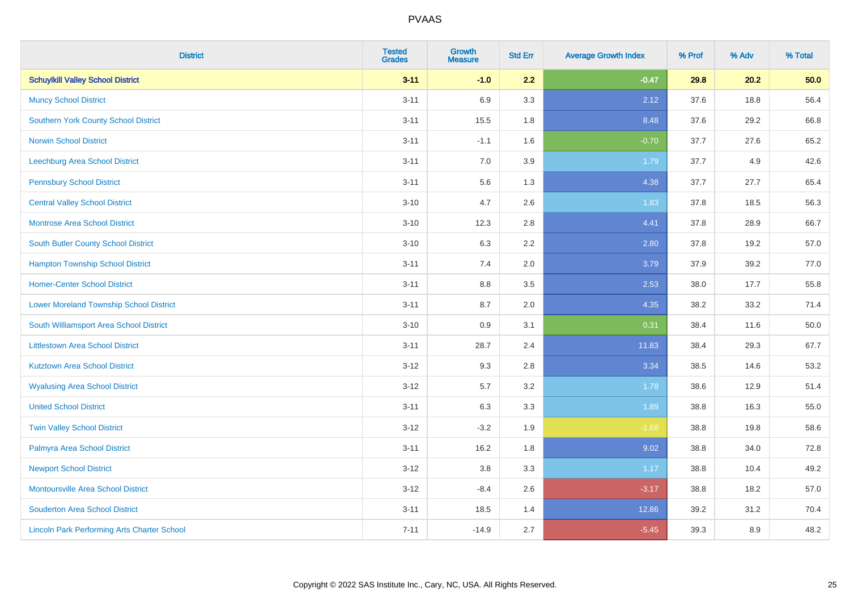| <b>District</b>                                    | <b>Tested</b><br><b>Grades</b> | <b>Growth</b><br><b>Measure</b> | <b>Std Err</b> | <b>Average Growth Index</b> | % Prof | % Adv | % Total |
|----------------------------------------------------|--------------------------------|---------------------------------|----------------|-----------------------------|--------|-------|---------|
| <b>Schuylkill Valley School District</b>           | $3 - 11$                       | $-1.0$                          | 2.2            | $-0.47$                     | 29.8   | 20.2  | 50.0    |
| <b>Muncy School District</b>                       | $3 - 11$                       | 6.9                             | 3.3            | 2.12                        | 37.6   | 18.8  | 56.4    |
| <b>Southern York County School District</b>        | $3 - 11$                       | 15.5                            | 1.8            | 8.48                        | 37.6   | 29.2  | 66.8    |
| <b>Norwin School District</b>                      | $3 - 11$                       | $-1.1$                          | 1.6            | $-0.70$                     | 37.7   | 27.6  | 65.2    |
| <b>Leechburg Area School District</b>              | $3 - 11$                       | 7.0                             | 3.9            | 1.79                        | 37.7   | 4.9   | 42.6    |
| <b>Pennsbury School District</b>                   | $3 - 11$                       | 5.6                             | 1.3            | 4.38                        | 37.7   | 27.7  | 65.4    |
| <b>Central Valley School District</b>              | $3 - 10$                       | 4.7                             | 2.6            | 1.83                        | 37.8   | 18.5  | 56.3    |
| <b>Montrose Area School District</b>               | $3 - 10$                       | 12.3                            | 2.8            | 4.41                        | 37.8   | 28.9  | 66.7    |
| South Butler County School District                | $3 - 10$                       | 6.3                             | 2.2            | 2.80                        | 37.8   | 19.2  | 57.0    |
| <b>Hampton Township School District</b>            | $3 - 11$                       | 7.4                             | 2.0            | 3.79                        | 37.9   | 39.2  | 77.0    |
| <b>Homer-Center School District</b>                | $3 - 11$                       | 8.8                             | 3.5            | 2.53                        | 38.0   | 17.7  | 55.8    |
| <b>Lower Moreland Township School District</b>     | $3 - 11$                       | 8.7                             | 2.0            | 4.35                        | 38.2   | 33.2  | 71.4    |
| South Williamsport Area School District            | $3 - 10$                       | $0.9\,$                         | 3.1            | 0.31                        | 38.4   | 11.6  | 50.0    |
| <b>Littlestown Area School District</b>            | $3 - 11$                       | 28.7                            | 2.4            | 11.83                       | 38.4   | 29.3  | 67.7    |
| <b>Kutztown Area School District</b>               | $3 - 12$                       | 9.3                             | 2.8            | 3.34                        | 38.5   | 14.6  | 53.2    |
| <b>Wyalusing Area School District</b>              | $3 - 12$                       | 5.7                             | 3.2            | 1.78                        | 38.6   | 12.9  | 51.4    |
| <b>United School District</b>                      | $3 - 11$                       | 6.3                             | 3.3            | 1.89                        | 38.8   | 16.3  | 55.0    |
| <b>Twin Valley School District</b>                 | $3 - 12$                       | $-3.2$                          | 1.9            | $-1.68$                     | 38.8   | 19.8  | 58.6    |
| Palmyra Area School District                       | $3 - 11$                       | 16.2                            | 1.8            | 9.02                        | 38.8   | 34.0  | 72.8    |
| <b>Newport School District</b>                     | $3 - 12$                       | 3.8                             | 3.3            | 1.17                        | 38.8   | 10.4  | 49.2    |
| Montoursville Area School District                 | $3-12$                         | $-8.4$                          | 2.6            | $-3.17$                     | 38.8   | 18.2  | 57.0    |
| <b>Souderton Area School District</b>              | $3 - 11$                       | 18.5                            | 1.4            | 12.86                       | 39.2   | 31.2  | 70.4    |
| <b>Lincoln Park Performing Arts Charter School</b> | $7 - 11$                       | $-14.9$                         | 2.7            | $-5.45$                     | 39.3   | 8.9   | 48.2    |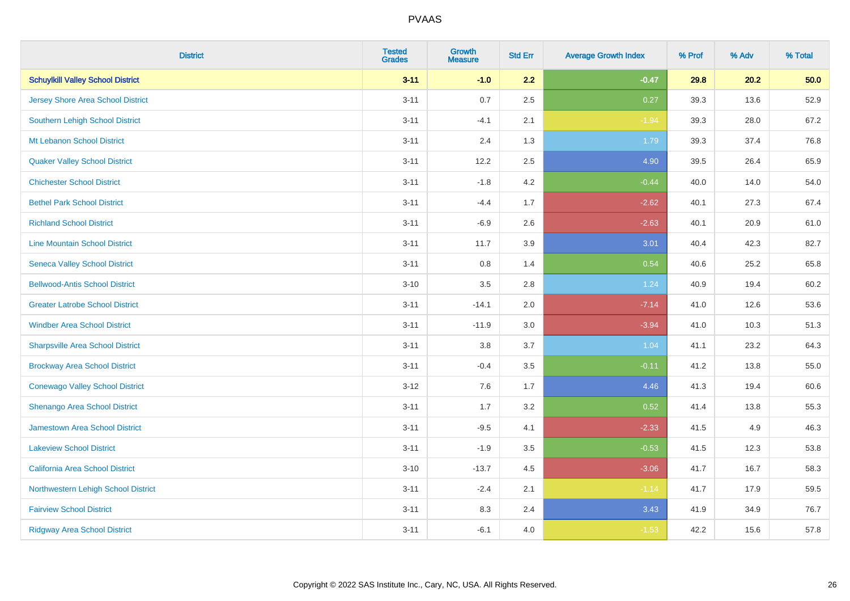| <b>District</b>                          | <b>Tested</b><br><b>Grades</b> | <b>Growth</b><br><b>Measure</b> | <b>Std Err</b> | <b>Average Growth Index</b> | % Prof | % Adv | % Total |
|------------------------------------------|--------------------------------|---------------------------------|----------------|-----------------------------|--------|-------|---------|
| <b>Schuylkill Valley School District</b> | $3 - 11$                       | $-1.0$                          | 2.2            | $-0.47$                     | 29.8   | 20.2  | 50.0    |
| <b>Jersey Shore Area School District</b> | $3 - 11$                       | 0.7                             | 2.5            | 0.27                        | 39.3   | 13.6  | 52.9    |
| Southern Lehigh School District          | $3 - 11$                       | $-4.1$                          | 2.1            | $-1.94$                     | 39.3   | 28.0  | 67.2    |
| Mt Lebanon School District               | $3 - 11$                       | 2.4                             | 1.3            | 1.79                        | 39.3   | 37.4  | 76.8    |
| <b>Quaker Valley School District</b>     | $3 - 11$                       | 12.2                            | 2.5            | 4.90                        | 39.5   | 26.4  | 65.9    |
| <b>Chichester School District</b>        | $3 - 11$                       | $-1.8$                          | 4.2            | $-0.44$                     | 40.0   | 14.0  | 54.0    |
| <b>Bethel Park School District</b>       | $3 - 11$                       | $-4.4$                          | 1.7            | $-2.62$                     | 40.1   | 27.3  | 67.4    |
| <b>Richland School District</b>          | $3 - 11$                       | $-6.9$                          | 2.6            | $-2.63$                     | 40.1   | 20.9  | 61.0    |
| <b>Line Mountain School District</b>     | $3 - 11$                       | 11.7                            | 3.9            | 3.01                        | 40.4   | 42.3  | 82.7    |
| <b>Seneca Valley School District</b>     | $3 - 11$                       | 0.8                             | 1.4            | 0.54                        | 40.6   | 25.2  | 65.8    |
| <b>Bellwood-Antis School District</b>    | $3 - 10$                       | 3.5                             | 2.8            | 1.24                        | 40.9   | 19.4  | 60.2    |
| <b>Greater Latrobe School District</b>   | $3 - 11$                       | $-14.1$                         | 2.0            | $-7.14$                     | 41.0   | 12.6  | 53.6    |
| <b>Windber Area School District</b>      | $3 - 11$                       | $-11.9$                         | 3.0            | $-3.94$                     | 41.0   | 10.3  | 51.3    |
| <b>Sharpsville Area School District</b>  | $3 - 11$                       | $3.8\,$                         | 3.7            | 1.04                        | 41.1   | 23.2  | 64.3    |
| <b>Brockway Area School District</b>     | $3 - 11$                       | $-0.4$                          | 3.5            | $-0.11$                     | 41.2   | 13.8  | 55.0    |
| <b>Conewago Valley School District</b>   | $3 - 12$                       | 7.6                             | 1.7            | 4.46                        | 41.3   | 19.4  | 60.6    |
| Shenango Area School District            | $3 - 11$                       | 1.7                             | 3.2            | 0.52                        | 41.4   | 13.8  | 55.3    |
| Jamestown Area School District           | $3 - 11$                       | $-9.5$                          | 4.1            | $-2.33$                     | 41.5   | 4.9   | 46.3    |
| <b>Lakeview School District</b>          | $3 - 11$                       | $-1.9$                          | 3.5            | $-0.53$                     | 41.5   | 12.3  | 53.8    |
| California Area School District          | $3 - 10$                       | $-13.7$                         | 4.5            | $-3.06$                     | 41.7   | 16.7  | 58.3    |
| Northwestern Lehigh School District      | $3 - 11$                       | $-2.4$                          | 2.1            | $-1.14$                     | 41.7   | 17.9  | 59.5    |
| <b>Fairview School District</b>          | $3 - 11$                       | 8.3                             | 2.4            | 3.43                        | 41.9   | 34.9  | 76.7    |
| <b>Ridgway Area School District</b>      | $3 - 11$                       | $-6.1$                          | 4.0            | $-1.53$                     | 42.2   | 15.6  | 57.8    |